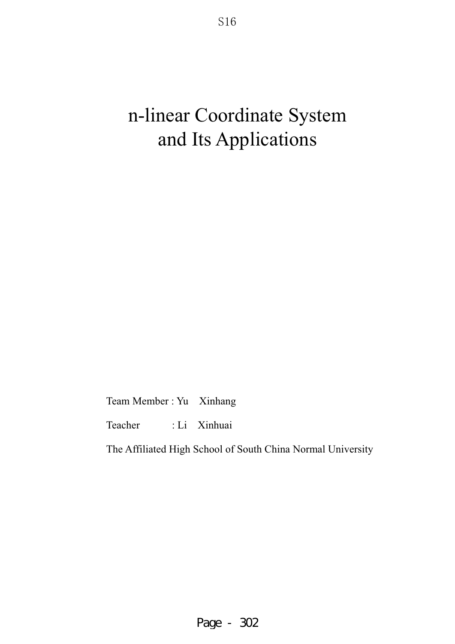# n-linear Coordinate System and Its Applications

Team Member : Yu Xinhang

Teacher : Li Xinhuai

The Affiliated High School of South China Normal University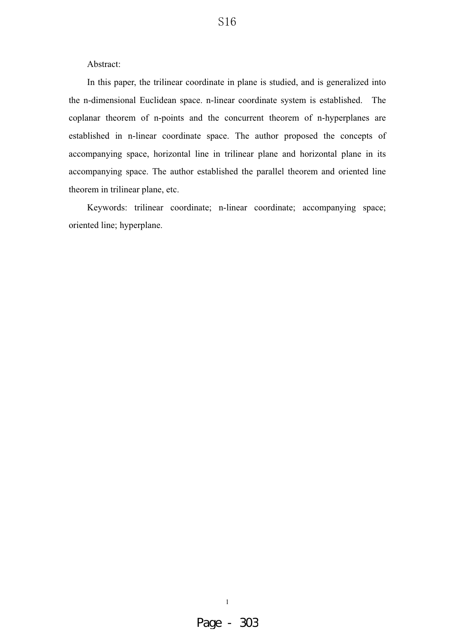Abstract:

In this paper, the trilinear coordinate in plane is studied, and is generalized into the n-dimensional Euclidean space. n-linear coordinate system is established. The coplanar theorem of n-points and the concurrent theorem of n-hyperplanes are established in n-linear coordinate space. The author proposed the concepts of accompanying space, horizontal line in trilinear plane and horizontal plane in its accompanying space. The author established the parallel theorem and oriented line theorem in trilinear plane, etc.

Keywords: trilinear coordinate; n-linear coordinate; accompanying space; oriented line; hyperplane.

S<sub>16</sub>

1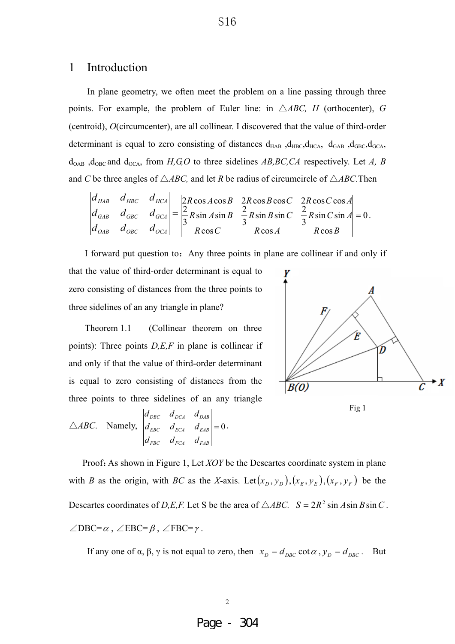# 1 Introduction

In plane geometry, we often meet the problem on a line passing through three points. For example, the problem of Euler line: in  $\triangle ABC$ , *H* (orthocenter), *G* (centroid), *O*(circumcenter), are all collinear. I discovered that the value of third-order determinant is equal to zero consisting of distances  $d_{HAB}$ ,  $d_{HBC}$ ,  $d_{HCA}$ ,  $d_{GAB}$ ,  $d_{GBC}$ ,  $d_{GCA}$ ,  $d_{OAB}$ ,  $d_{OBC}$  and  $d_{OCA}$ , from *H*,*G*,*O* to three sidelines *AB*,*BC*,*CA* respectively. Let *A*, *B* and *C* be three angles of  $\triangle ABC$ , and let *R* be radius of circumcircle of  $\triangle ABC$ . Then

$$
\begin{vmatrix} d_{HAB} & d_{HBC} & d_{HCA} \\ d_{GAB} & d_{GBC} & d_{GCA} \\ d_{OAB} & d_{OBC} & d_{OCA} \end{vmatrix} = \begin{vmatrix} 2R\cos A\cos B & 2R\cos B\cos C & 2R\cos C\cos A \\ \frac{2}{3}R\sin A\sin B & \frac{2}{3}R\sin B\sin C & \frac{2}{3}R\sin C\sin A \\ R\cos C & R\cos A & R\cos B \end{vmatrix} = 0.
$$

I forward put question to: Any three points in plane are collinear if and only if

that the value of third-order determinant is equal to zero consisting of distances from the three points to three sidelines of an any triangle in plane?

Theorem 1.1 (Collinear theorem on three points): Three points *D,E,F* in plane is collinear if and only if that the value of third-order determinant is equal to zero consisting of distances from the three points to three sidelines of an any triangle

$$
\triangle ABC. \quad \text{Namely,} \quad \begin{vmatrix} d_{DBC} & d_{DCA} & d_{DAB} \\ d_{EBC} & d_{ECA} & d_{EAB} \\ d_{FBC} & d_{FCA} & d_{FAB} \end{vmatrix} = 0.
$$

2

Έ 'N *B(O)* Fig 1

Proof: As shown in Figure 1, Let *XOY* be the Descartes coordinate system in plane with *B* as the origin, with *BC* as the *X*-axis. Let  $(x_D, y_D), (x_E, y_E), (x_F, y_F)$  be the Descartes coordinates of *D,E,F.* Let S be the area of  $\triangle ABC$ .  $S = 2R^2 \sin A \sin B \sin C$ .  $\angle$ DBC= $\alpha$ ,  $\angle$ EBC= $\beta$ ,  $\angle$ FBC= $\gamma$ .

If any one of  $\alpha$ ,  $\beta$ ,  $\gamma$  is not equal to zero, then  $x_D = d_{DBC} \cot \alpha$ ,  $y_D = d_{DBC}$ . But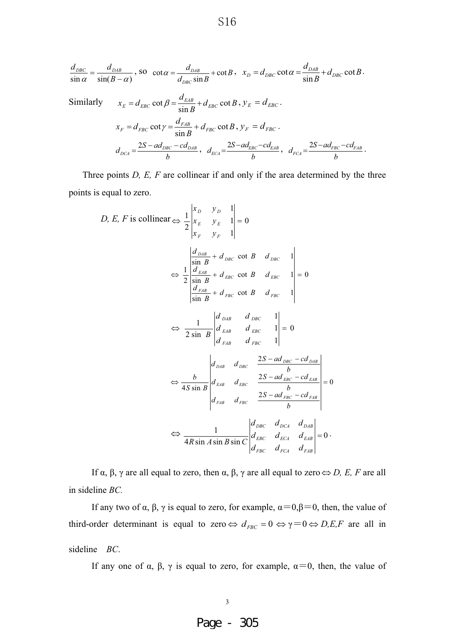$$
\frac{d_{\text{DBC}}}{\sin \alpha} = \frac{d_{\text{DAB}}}{\sin(B - \alpha)}, \text{ so } \cot \alpha = \frac{d_{\text{DAB}}}{d_{\text{DBC}} \sin B} + \cot B, \quad x_D = d_{\text{DBC}} \cot \alpha = \frac{d_{\text{DAB}}}{\sin B} + d_{\text{DBC}} \cot B.
$$

Similarly 
$$
x_E = d_{EBC} \cot \beta = \frac{d_{EAB}}{\sin B} + d_{EBC} \cot B
$$
,  $y_E = d_{EBC}$ .  
\n $x_F = d_{FBC} \cot \gamma = \frac{d_{FAB}}{\sin B} + d_{FBC} \cot B$ ,  $y_F = d_{FBC}$ .  
\n $d_{DCA} = \frac{2S - ad_{DBC} - cd_{DAB}}{b}$ ,  $d_{ECA} = \frac{2S - ad_{EBC} - cd_{EAB}}{b}$ ,  $d_{FCA} = \frac{2S - ad_{FBC} - cd_{FAB}}{b}$ .

Three points *D, E, F* are collinear if and only if the area determined by the three points is equal to zero.

D, E, F is collinear 
$$
\Leftrightarrow \frac{1}{2} \begin{vmatrix} x_D & y_D & 1 \ x_E & y_E & 1 \ x_F & y_F & 1 \end{vmatrix} = 0
$$
  
\n $\Leftrightarrow \frac{1}{2} \begin{vmatrix} \frac{d_{DB}}{\sin B} + d_{DBC} \cos t & d_{DBC} \ \frac{d_{EB}}{\sin B} + d_{ABC} \cos t & d_{ABC} \ \frac{d_{EB}}{\sin B} + d_{FBC} \cos t & d_{ABC} \end{vmatrix} = 0$   
\n $\Leftrightarrow \frac{1}{2 \sin B} \begin{vmatrix} d_{DB} & d_{DBC} & 1 \ d_{EB} & d_{ABC} & 1 \ d_{EB} & d_{EB} & 1 \ d_{EB} & d_{EB} & 1 \end{vmatrix} = 0$   
\n $\Leftrightarrow \frac{1}{2 \sin B} \begin{vmatrix} d_{DB} & d_{DBC} & 1 \ d_{EB} & d_{EB} & 1 \ d_{EB} & d_{B} & 1 \ d_{EB} & d_{EB} & 1 \ d_{EB} & d_{EB} & 1 \end{vmatrix} = 0$   
\n $\Leftrightarrow \frac{b}{4S \sin B} \begin{vmatrix} d_{DB} & d_{ABC} & \frac{2S - ad_{DBC} - cd_{CAB}}{b} \\ d_{EB} & d_{FE} & \frac{2S - ad_{BC} - cd_{EAB}}{b} \\ d_{EB} & d_{FE} & \frac{2S - ad_{BC} - cd_{EAB}}{b} \end{vmatrix} = 0$   
\n $\Leftrightarrow \frac{1}{4R \sin A \sin B \sin C} \begin{vmatrix} d_{DBC} & d_{DC} & d_{DCA} & d_{CAB} \\ d_{EE} & d_{EC} & d_{EC} & d_{EB} \end{vmatrix} = 0$ .

If  $\alpha$ ,  $\beta$ ,  $\gamma$  are all equal to zero, then  $\alpha$ ,  $\beta$ ,  $\gamma$  are all equal to zero  $\Leftrightarrow$  *D, E, F* are all in sideline *BC.*

If any two of  $\alpha$ ,  $\beta$ ,  $\gamma$  is equal to zero, for example,  $\alpha = 0, \beta = 0$ , then, the value of third-order determinant is equal to zero  $\Leftrightarrow d_{FBC} = 0 \Leftrightarrow \gamma = 0 \Leftrightarrow D,E,F$  are all in sideline *BC*.

If any one of  $\alpha$ ,  $\beta$ ,  $\gamma$  is equal to zero, for example,  $\alpha = 0$ , then, the value of

3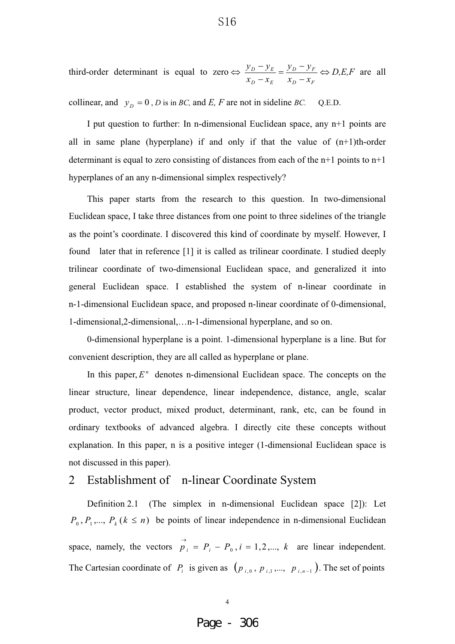third-order determinant is equal to zero  $\Leftrightarrow$   $\frac{y_D - y_E}{x_D - x_E} = \frac{y_D - y_F}{x_D - x_E}$  $D \sim F$ *D JF*  $D \sim E$ *ED*  $x<sub>D</sub> - x$  $y_p - y$  $x<sub>D</sub> - x$  $y_D - y_E = y_D - y_F \Leftrightarrow D,E,F$  are all

collinear, and  $y_D = 0$ , *D* is in *BC*, and *E*, *F* are not in sideline *BC*. Q.E.D.

I put question to further: In n-dimensional Euclidean space, any  $n+1$  points are all in same plane (hyperplane) if and only if that the value of  $(n+1)$ th-order determinant is equal to zero consisting of distances from each of the n+1 points to n+1 hyperplanes of an any n-dimensional simplex respectively?

This paper starts from the research to this question. In two-dimensional Euclidean space, I take three distances from one point to three sidelines of the triangle as the point's coordinate. I discovered this kind of coordinate by myself. However, I found later that in reference [1] it is called as trilinear coordinate. I studied deeply trilinear coordinate of two-dimensional Euclidean space, and generalized it into general Euclidean space. I established the system of n-linear coordinate in n-1-dimensional Euclidean space, and proposed n-linear coordinate of 0-dimensional, 1-dimensional,2-dimensional,…n-1-dimensional hyperplane, and so on.

0-dimensional hyperplane is a point. 1-dimensional hyperplane is a line. But for convenient description, they are all called as hyperplane or plane.

In this paper,  $E<sup>n</sup>$  denotes n-dimensional Euclidean space. The concepts on the linear structure, linear dependence, linear independence, distance, angle, scalar product, vector product, mixed product, determinant, rank, etc, can be found in ordinary textbooks of advanced algebra. I directly cite these concepts without explanation. In this paper, n is a positive integer (1-dimensional Euclidean space is not discussed in this paper).

#### 2 Establishment of n-linear Coordinate System

4

Definition 2.1 (The simplex in n-dimensional Euclidean space [2]): Let  $P_0$ ,  $P_1$ ,...,  $P_k$  ( $k \le n$ ) be points of linear independence in n-dimensional Euclidean space, namely, the vectors  $\overrightarrow{p}_i = P_i - P_0$ ,  $i = 1, 2, \dots, k$  are linear independent. The Cartesian coordinate of  $P_i$  is given as  $(p_{i,0}, p_{i,1},..., p_{i,n-1})$ . The set of points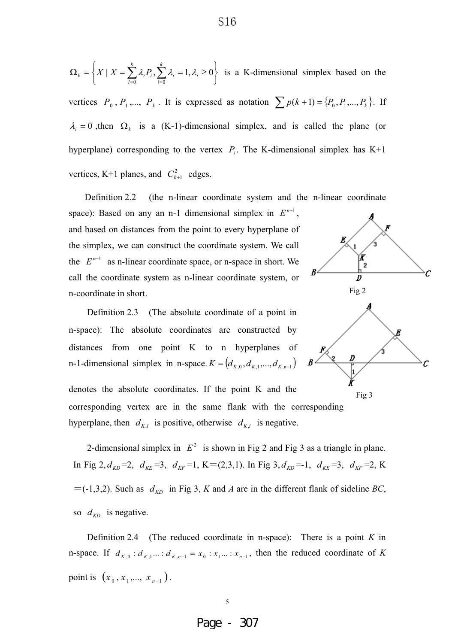$$
\Omega_k = \left\{ X \mid X = \sum_{i=0}^k \lambda_i P_i, \sum_{i=0}^k \lambda_i = 1, \lambda_i \ge 0 \right\}
$$
 is a K-dimensional simplex based on the

vertices  $P_0$ ,  $P_1$ ,...,,  $P_k$ . It is expressed as notation  $\sum p(k+1) = \{P_0, P_1, \dots, P_k\}$ . If  $\lambda_i = 0$ , then  $\Omega_k$  is a (K-1)-dimensional simplex, and is called the plane (or hyperplane) corresponding to the vertex  $P_i$ . The K-dimensional simplex has K+1 vertices, K+1 planes, and  $C_{k+1}^2$  edges.

Definition 2.2 (the n-linear coordinate system and the n-linear coordinate space): Based on any an n-1 dimensional simplex in  $E^{n-1}$ , and based on distances from the point to every hyperplane of the simplex, we can construct the coordinate system. We call the  $E^{n-1}$  as n-linear coordinate space, or n-space in short. We call the coordinate system as n-linear coordinate system, or n-coordinate in short.

Definition 2.3 (The absolute coordinate of a point in n-space): The absolute coordinates are constructed by distances from one point K to n hyperplanes of n-1-dimensional simplex in n-space.  $K = (d_{K,0}, d_{K,1}, ..., d_{K,n-1})$ 



denotes the absolute coordinates. If the point K and the corresponding vertex are in the same flank with the corresponding hyperplane, then  $d_{K,i}$  is positive, otherwise  $d_{K,i}$  is negative.

2-dimensional simplex in  $E^2$  is shown in Fig 2 and Fig 3 as a triangle in plane. In Fig 2,  $d_{KD} = 2$ ,  $d_{KE} = 3$ ,  $d_{KF} = 1$ ,  $K = (2,3,1)$ . In Fig 3,  $d_{KD} = -1$ ,  $d_{KE} = 3$ ,  $d_{KF} = 2$ , K  $=$  (-1,3,2). Such as  $d_{KD}$  in Fig 3, *K* and *A* are in the different flank of sideline *BC*, so  $d_{KD}$  is negative.

Definition 2.4 (The reduced coordinate in n-space): There is a point *K* in n-space. If  $d_{K,0} : d_{K,1} ... : d_{K,n-1} = x_0 : x_1 ... : x_{n-1}$ , then the reduced coordinate of *K* point is  $(x_0, x_1, ..., x_{n-1})$ .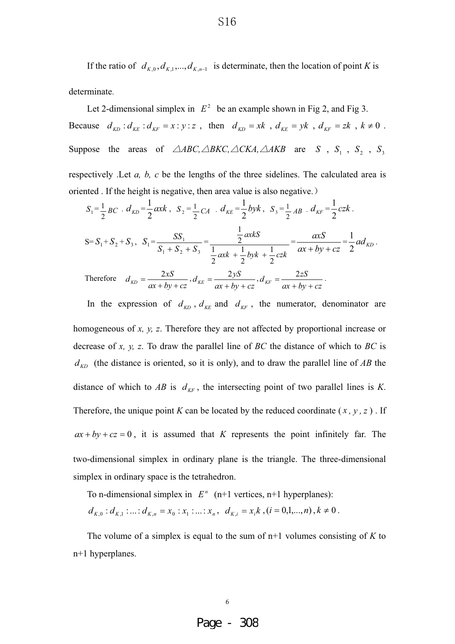If the ratio of  $d_{K,0}, d_{K,1},..., d_{K,n-1}$  is determinate, then the location of point *K* is determinate.

Let 2-dimensional simplex in  $E^2$  be an example shown in Fig 2, and Fig 3. Because  $d_{KD}:d_{KE}:d_{KF}=x:y:z$ , then  $d_{KD}=xk$ ,  $d_{KE}=yk$ ,  $d_{KF}=zk$ ,  $k \neq 0$ . Suppose the areas of  $\triangle ABC$ ,  $\triangle BKC$ ,  $\triangle CKA$ ,  $\triangle AKB$  are *S*,  $S_1$ ,  $S_2$ ,  $S_3$ respectively .Let *a, b, c* be the lengths of the three sidelines. The calculated area is oriented . If the height is negative, then area value is also negative.

$$
S_1 = \frac{1}{2} BC \cdot d_{KD} = \frac{1}{2} a x k , \quad S_2 = \frac{1}{2} CA \cdot d_{KE} = \frac{1}{2} b y k , \quad S_3 = \frac{1}{2} AB \cdot d_{KF} = \frac{1}{2} c z k .
$$
  
\n
$$
S = S_1 + S_2 + S_3, \quad S_1 = \frac{SS_1}{S_1 + S_2 + S_3} = \frac{\frac{1}{2} a x k S}{\frac{1}{2} a x k + \frac{1}{2} b y k + \frac{1}{2} c z k} = \frac{a x S}{a x + b y + c z} = \frac{1}{2} a d_{KD}.
$$
  
\nTherefore  $d_{KD} = \frac{2x S}{a x + b y + c z}, d_{KE} = \frac{2y S}{a x + b y + c z}, d_{KF} = \frac{2z S}{a x + b y + c z}.$ 

In the expression of  $d_{KD}$ ,  $d_{KE}$  and  $d_{KF}$ , the numerator, denominator are homogeneous of *x, y, z*. Therefore they are not affected by proportional increase or decrease of *x, y, z*. To draw the parallel line of *BC* the distance of which to *BC* is  $d_{KD}$  (the distance is oriented, so it is only), and to draw the parallel line of AB the distance of which to  $AB$  is  $d_{KF}$ , the intersecting point of two parallel lines is *K*. Therefore, the unique point *K* can be located by the reduced coordinate  $(x, y, z)$ . If  $ax + by + cz = 0$ , it is assumed that *K* represents the point infinitely far. The two-dimensional simplex in ordinary plane is the triangle. The three-dimensional simplex in ordinary space is the tetrahedron.

To n-dimensional simplex in  $E^n$  (n+1 vertices, n+1 hyperplanes):  $d_{K,0}: d_{K,1}:...: d_{K,n} = x_0: x_1:...: x_n, d_{K,i} = x_i k, (i = 0,1,...,n), k \neq 0.$ 

The volume of a simplex is equal to the sum of n+1 volumes consisting of *K* to n+1 hyperplanes.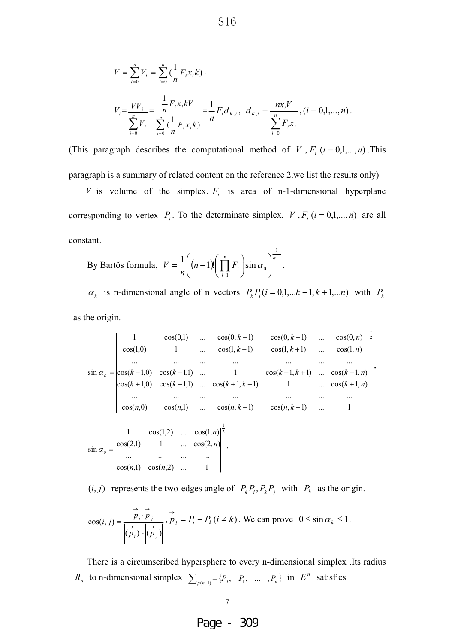$$
V = \sum_{i=0}^{n} V_i = \sum_{i=0}^{n} \left(\frac{1}{n} F_i x_i k\right).
$$
  

$$
V_i = \frac{V V_i}{\sum_{i=0}^{n} V_i} = \frac{\frac{1}{n} F_i x_i kV}{\sum_{i=0}^{n} \left(\frac{1}{n} F_i x_i k\right)} = \frac{1}{n} F_i d_{K,i}, \quad d_{K,i} = \frac{n x_i V}{\sum_{i=0}^{n} F_i x_i}, (i = 0,1,...,n).
$$

(This paragraph describes the computational method of  $V$ ,  $F_i$  ( $i = 0,1,...,n$ ). This paragraph is a summary of related content on the reference 2.we list the results only)

*V* is volume of the simplex.  $F_i$  is area of n-1-dimensional hyperplane corresponding to vertex  $P_i$ . To the determinate simplex,  $V$ ,  $F_i$  ( $i = 0,1,...,n$ ) are all constant.

By Bartős formula, 
$$
V = \frac{1}{n} \left( (n-1)! \left( \prod_{i=1}^{n} F_i \right) \sin \alpha_0 \right)^{\frac{1}{n-1}}
$$
.

 $\alpha_k$  is n-dimensional angle of n vectors  $P_k P_i (i = 0,1,...k-1, k+1,...n)$  with  $P_k$ 

as the origin.

$$
\sin \alpha_k = \begin{vmatrix}\n1 & \cos(0,1) & \dots & \cos(0,k-1) & \cos(0,k+1) & \dots & \cos(0,n) \\
\cos(1,0) & 1 & \dots & \cos(1,k-1) & \cos(1,k+1) & \dots & \cos(1,n) \\
\vdots & \vdots & \vdots & \vdots & \vdots & \vdots & \vdots & \vdots \\
\cos(k-1,0) & \cos(k-1,1) & \dots & 1 & \cos(k-1,k+1) & \dots & \cos(k-1,n) \\
\cos(k+1,0) & \cos(k+1,1) & \dots & \cos(k+1,k-1) & 1 & \dots & \cos(k+1,n) \\
\vdots & \vdots & \vdots & \vdots & \vdots & \vdots & \vdots & \vdots & \vdots \\
\cos(n,0) & \cos(n,1) & \dots & \cos(n,k-1) & \cos(n,k+1) & \dots & 1\n\end{vmatrix},
$$
  
\n
$$
\sin \alpha_0 = \begin{vmatrix}\n1 & \cos(1,2) & \dots & \cos(1,n) \\
\cos(2,1) & 1 & \dots & \cos(2,n) \\
\vdots & \vdots & \vdots & \vdots & \vdots \\
\cos(n,1) & \cos(n,2) & \dots & 1\n\end{vmatrix}.
$$

 $(i, j)$  represents the two-edges angle of  $P_k P_i, P_k P_j$  with  $P_k$  as the origin.

$$
\cos(i, j) = \frac{\overrightarrow{p_i \cdot p_j}}{\left| \overrightarrow{(p_i)} \right| \cdot \left| \overrightarrow{(p_j)} \right|} \cdot \overrightarrow{p_i} = P_i - P_k (i \neq k).
$$
 We can prove  $0 \leq \sin \alpha_k \leq 1$ .

There is a circumscribed hypersphere to every n-dimensional simplex .Its radius *R<sub>n</sub>* to n-dimensional simplex  $\sum_{p(n+1)} = \{P_0, P_1, \dots, P_n\}$  in *E*<sup>n</sup> satisfies

Page - 309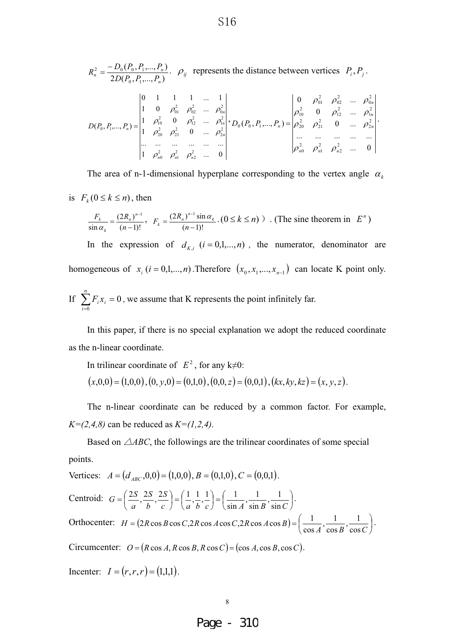$$
R_n^2 = \frac{-D_0(P_0, P_1, ..., P_n)}{2D(P_0, P_1, ..., P_n)} \cdot \rho_{ij}
$$
 represents the distance between vertices  $P_i, P_j$ .  
\n
$$
D(P_0, P_1, ..., P_n) = \begin{vmatrix} 0 & 1 & 1 & 1 & ... & 1 \\ 1 & 0 & \rho_{01}^2 & \rho_{02}^2 & ... & \rho_{0n}^2 \\ 1 & \rho_{10}^2 & 0 & \rho_{12}^2 & ... & \rho_{1n}^2 \\ 1 & \rho_{20}^2 & \rho_{21}^2 & 0 & ... & \rho_{2n}^2 \\ 1 & \rho_{20}^2 & \rho_{21}^2 & 0 & ... & \rho_{2n}^2 \end{vmatrix} \cdot D_0(P_0, P_1, ..., P_n) = \begin{vmatrix} 0 & \rho_{01}^2 & \rho_{02}^2 & ... & \rho_{0n}^2 \\ \rho_{10}^2 & 0 & \rho_{12}^2 & ... & \rho_{1n}^2 \\ \rho_{20}^2 & \rho_{21}^2 & 0 & ... & \rho_{2n}^2 \\ ... & ... & ... & ... & ... \\ \rho_{n0}^2 & \rho_{n1}^2 & \rho_{n2}^2 & ... & 0 \end{vmatrix}.
$$

The area of n-1-dimensional hyperplane corresponding to the vertex angle  $\alpha_k$ 

is  $F_k$  ( $0 \le k \le n$ ), then

$$
\frac{F_k}{\sin \alpha_k} = \frac{(2R_n)^{n-1}}{(n-1)!}, \quad F_k = \frac{(2R_n)^{n-1} \sin \alpha_k}{(n-1)!}. (0 \le k \le n) )
$$
. (The sine theorem in  $E^n$ )

In the expression of  $d_{K,i}$  ( $i = 0,1,...,n$ ), the numerator, denominator are homogeneous of  $x_i$  ( $i = 0,1,...,n$ ). Therefore  $(x_0, x_1,...,x_{n-1})$  can locate K point only.

If 
$$
\sum_{i=0}^{n} F_i x_i = 0
$$
, we assume that K represents the point infinitely far.

1  $\rho_{n0}^2$   $\rho_{n1}^2$   $\rho_{n2}^2$  ... 0

 $\rho _{_{n0}}^{2}-\rho _{_{n1}}^{2}-\rho _{_{n2}}^{2}$ 

In this paper, if there is no special explanation we adopt the reduced coordinate as the n-linear coordinate.

In trilinear coordinate of 
$$
E^2
$$
, for any k≠0:  
\n $(x,0,0) = (1,0,0), (0, y, 0) = (0,1,0), (0,0, z) = (0,0,1), (kx, ky, kz) = (x, y, z).$ 

The n-linear coordinate can be reduced by a common factor. For example, *K=(2,4,8)* can be reduced as *K=(1,2,4)*.

Based on  $\triangle ABC$ , the followings are the trilinear coordinates of some special points.

Vertices:  $A = (d_{ABC}, 0, 0) = (1, 0, 0), B = (0, 1, 0), C = (0, 0, 1).$ Centroid:  $G = \left[\frac{25}{11}, \frac{25}{11}, \frac{25}{11}\right] = \left[\frac{1}{11}, \frac{1}{11}, \frac{1}{11}\right] = \left[\frac{1}{11}, \frac{1}{11}, \frac{1}{11}\right]$  $\big)$  $\left(\frac{1}{\sqrt{1-\frac{1}{\sqrt{1-\frac{1}{\sqrt{1-\frac{1}{\sqrt{1-\frac{1}{\sqrt{1-\frac{1}{\sqrt{1-\frac{1}{\sqrt{1-\frac{1}{\sqrt{1-\frac{1}{\sqrt{1-\frac{1}{\sqrt{1-\frac{1}{\sqrt{1-\frac{1}{\sqrt{1-\frac{1}{\sqrt{1-\frac{1}{\sqrt{1-\frac{1}{\sqrt{1-\frac{1}{\sqrt{1-\frac{1}{\sqrt{1-\frac{1}{\sqrt{1-\frac{1}{\sqrt{1-\frac{1}{\sqrt{1-\frac{1}{\sqrt{1-\frac{1}{\sqrt{1-\frac{1}{\sqrt{1-\frac{1}{\sqrt{1-\frac$ l  $=$ J  $\left( \frac{1}{2}, \frac{1}{2}, \frac{1}{2} \right)$ l  $=$ J  $\left(\frac{2S}{S}, \frac{2S}{S}, \frac{2S}{S}\right)$ l  $=$  $($  $c$   $(a$ <sup>2</sup>  $b$ <sup>2</sup>  $c$   $(\sin A^2 \sin B^2 \sin C)$ *S b S a*  $G = \left(\frac{2S}{\sigma}\right)$  $\left(\frac{2S}{a}, \frac{2S}{b}, \frac{2S}{c}\right) = \left(\frac{1}{a}, \frac{1}{b}, \frac{1}{c}\right) = \left(\frac{1}{\sin A}, \frac{1}{\sin B}, \frac{1}{\sin C}\right).$ Orthocenter:  $H = (2R\cos B\cos C, 2R\cos A\cos C, 2R\cos A\cos B) = \left( \frac{1}{\cos A} \right)^2$  $\big)$  $\left(\frac{1}{\sqrt{1-\frac{1}{\sqrt{1-\frac{1}{\sqrt{1-\frac{1}{\sqrt{1-\frac{1}{\sqrt{1-\frac{1}{\sqrt{1-\frac{1}{\sqrt{1-\frac{1}{\sqrt{1-\frac{1}{\sqrt{1-\frac{1}{\sqrt{1-\frac{1}{\sqrt{1-\frac{1}{\sqrt{1-\frac{1}{\sqrt{1-\frac{1}{\sqrt{1-\frac{1}{\sqrt{1-\frac{1}{\sqrt{1-\frac{1}{\sqrt{1-\frac{1}{\sqrt{1-\frac{1}{\sqrt{1-\frac{1}{\sqrt{1-\frac{1}{\sqrt{1-\frac{1}{\sqrt{1-\frac{1}{\sqrt{1-\frac{1}{\sqrt{1-\frac$ l  $=(2R\cos B\cos C.2R\cos A\cos C.2R\cos A\cos B)$  $A^{\prime}$  cos  $B^{\prime}$  cos C  $H = (2R\cos B\cos C, 2R\cos A\cos C, 2R\cos A\cos B)$  $2R\cos B\cos C, 2R\cos A\cos C, 2R\cos A\cos B) = \left(\frac{1}{\cos A}, \frac{1}{\cos B}, \frac{1}{\cos C}\right).$ Circumcenter:  $Q = (R \cos A, R \cos B, R \cos C) = (\cos A, \cos B, \cos C)$ .

Incenter:  $I = (r, r, r) = (1,1,1)$ .

8 and 2012 and 2013 and 2014 and 2014 and 2014 and 2014 and 2014 and 2014 and 2014 and 2014 and 2014 and 2014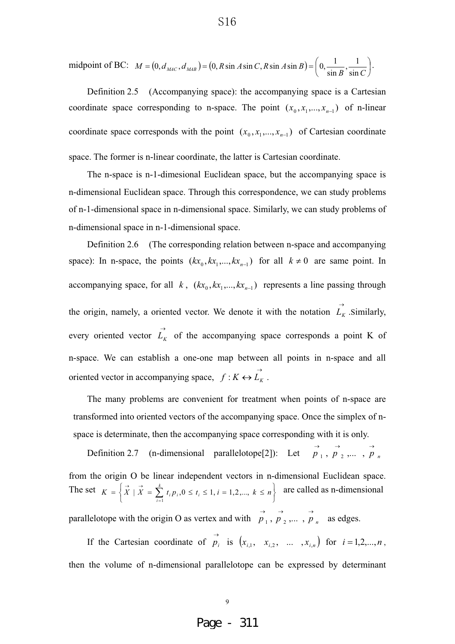midpoint of BC: 
$$
M = (0, d_{MAC}, d_{MAB}) = (0, R \sin A \sin C, R \sin A \sin B) = \left(0, \frac{1}{\sin B}, \frac{1}{\sin C}\right)
$$
.

 Definition 2.5 (Accompanying space): the accompanying space is a Cartesian coordinate space corresponding to n-space. The point  $(x_0, x_1, \ldots, x_{n-1})$  of n-linear coordinate space corresponds with the point  $(x_0, x_1, \ldots, x_{n-1})$  of Cartesian coordinate space. The former is n-linear coordinate, the latter is Cartesian coordinate.

The n-space is n-1-dimesional Euclidean space, but the accompanying space is n-dimensional Euclidean space. Through this correspondence, we can study problems of n-1-dimensional space in n-dimensional space. Similarly, we can study problems of n-dimensional space in n-1-dimensional space.

Definition 2.6 (The corresponding relation between n-space and accompanying space): In n-space, the points  $(kx_0, kx_1, \dots, kx_{n-1})$  for all  $k \neq 0$  are same point. In accompanying space, for all  $k$ ,  $(kx_0, kx_1, ..., kx_{n-1})$  represents a line passing through the origin, namely, a oriented vector. We denote it with the notation  $\overrightarrow{L}_K$ . Similarly, every oriented vector  $\overrightarrow{L}_K$  of the accompanying space corresponds a point K of n-space. We can establish a one-one map between all points in n-space and all oriented vector in accompanying space,  $f: K \leftrightarrow \overrightarrow{L}_K$ .

The many problems are convenient for treatment when points of n-space are transformed into oriented vectors of the accompanying space. Once the simplex of nspace is determinate, then the accompanying space corresponding with it is only.

Definition 2.7 (n-dimensional parallelotope[2]): Let  $\overrightarrow{p}_1$ ,  $\overrightarrow{p}_2$ ,...,  $\overrightarrow{p}_n$ from the origin O be linear independent vectors in n-dimensional Euclidean space. The set  $\left\{ \right\}$  $\overline{1}$  $=\left\{\vec{X} \mid \vec{X} = \sum_{i=1}^{k} t_i p_i, 0 \le t_i \le 1, i = 1, 2, ..., k \le \right\}$  $K = \left\{ \begin{array}{c} \stackrel{\rightarrow}{X} \\ \stackrel{\rightarrow}{X} \end{array} \right. = \sum_{i=1}^{k} t_i p_i, 0 \leq t_i \leq 1, i = 1, 2, \dots, k \leq n \right\}$  $| X = \sum_{i=1}^{\infty} t_i p_i, 0 \leq t_i \leq 1, i = 1, 2, \ldots,$  are called as n-dimensional parallelotope with the origin O as vertex and with  $\overrightarrow{p}_1$ ,  $\overrightarrow{p}_2$ ,...,  $\overrightarrow{p}_n$  as edges.

If the Cartesian coordinate of  $\overrightarrow{p}_i$  is  $(x_{i,1}, x_{i,2}, \dots, x_{i,n})$  for  $i = 1,2,...,n$ , then the volume of n-dimensional parallelotope can be expressed by determinant

9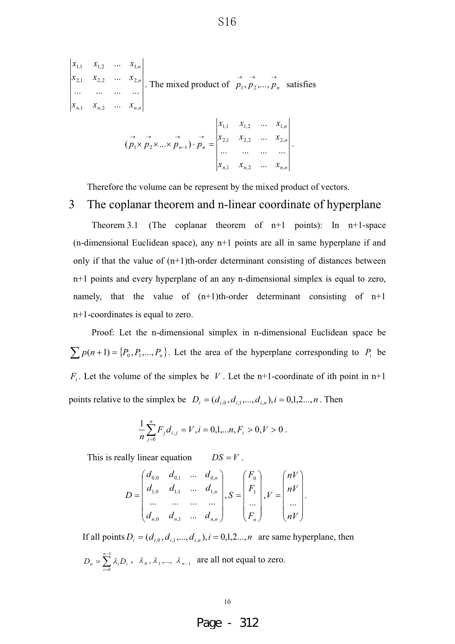$$
\begin{vmatrix} x_{1,1} & x_{1,2} & \dots & x_{1,n} \\ x_{2,1} & x_{2,2} & \dots & x_{2,n} \\ \dots & \dots & \dots & \dots \\ x_{n,1} & x_{n,2} & \dots & x_{n,n} \end{vmatrix}
$$
. The mixed product of  $\overrightarrow{p_1, p_2, ..., p_n}$  satisfies  

$$
\overrightarrow{(p_1 \times p_2 \times ... \times p_{n-1}) \cdot p_n} = \begin{vmatrix} x_{1,1} & x_{1,2} & \dots & x_{1,n} \\ x_{2,1} & x_{2,2} & \dots & x_{2,n} \\ \dots & \dots & \dots & \dots \\ x_{n,1} & x_{n,2} & \dots & x_{n,n} \end{vmatrix}
$$
.

Therefore the volume can be represent by the mixed product of vectors.

# 3 The coplanar theorem and n-linear coordinate of hyperplane

Theorem 3.1 (The coplanar theorem of n+1 points): In n+1-space (n-dimensional Euclidean space), any n+1 points are all in same hyperplane if and only if that the value of  $(n+1)$ th-order determinant consisting of distances between n+1 points and every hyperplane of an any n-dimensional simplex is equal to zero, namely, that the value of  $(n+1)$ th-order determinant consisting of  $n+1$ n+1-coordinates is equal to zero.

Proof: Let the n-dimensional simplex in n-dimensional Euclidean space be  $\sum p(n+1) = \{P_0, P_1, ..., P_n\}$ . Let the area of the hyperplane corresponding to  $P_i$  be  $F_i$ . Let the volume of the simplex be *V*. Let the n+1-coordinate of ith point in n+1 points relative to the simplex be  $D_i = (d_{i,0}, d_{i,1},..., d_{i,n})$ ,  $i = 0,1,2...,n$ . Then

$$
\frac{1}{n}\sum_{j=0}^n F_j d_{i,j} = V, i = 0,1,...n, F_i > 0, V > 0.
$$

This is really linear equation  $DS = V$ .

$$
D = \begin{pmatrix} d_{0,0} & d_{0,1} & \dots & d_{0,n} \\ d_{1,0} & d_{1,1} & \dots & d_{1,n} \\ \dots & \dots & \dots & \dots \\ d_{n,0} & d_{n,1} & \dots & d_{n,n} \end{pmatrix}, S = \begin{pmatrix} F_0 \\ F_1 \\ \dots \\ F_n \end{pmatrix}, V = \begin{pmatrix} nV \\ nV \\ \dots \\ nV \end{pmatrix}.
$$

If all points  $D_i = (d_{i,0}, d_{i,1},..., d_{i,n})$ ,  $i = 0,1,2...,n$  are same hyperplane, then  $\sum_{n=1}^{n-1}$  $\overline{a}$  $=$  $\sum_{n=1}^{n-1}$ 0 *n*  $D_n = \sum_{i=0}^n \lambda_i D_i$ ,  $\lambda_0$ ,  $\lambda_1$ ,...,  $\lambda_{n-1}$  are all not equal to zero.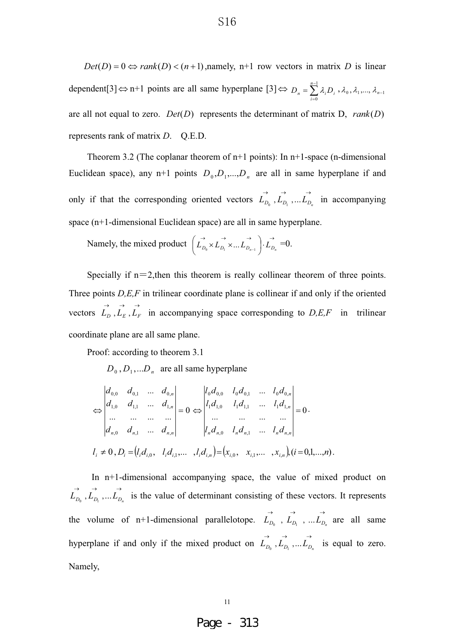$Det(D) = 0 \Leftrightarrow rank(D) < (n+1)$ , namely, n+1 row vectors in matrix *D* is linear dependent[3]  $\Leftrightarrow$  n+1 points are all same hyperplane [3]  $\Leftrightarrow$   $D_n = \sum_{n=1}^{n-1}$  $\overline{a}$  $=$  $\sum_{n=1}^{n-1}$  $\mathbf{0}$ *n*  $D_n = \sum_{i=0}^n \lambda_i D_i$ ,,, $\lambda_0$ ,,, $\lambda_1$ ,...,,,,,,, are all not equal to zero.  $Det(D)$  represents the determinant of matrix D,  $rank(D)$ represents rank of matrix *D*. Q.E.D.

Theorem 3.2 (The coplanar theorem of  $n+1$  points): In  $n+1$ -space (n-dimensional Euclidean space), any n+1 points  $D_0, D_1, ..., D_n$  are all in same hyperplane if and only if that the corresponding oriented vectors  $\overrightarrow{L}_{D_0}$ ,  $\rightarrow$  $L_{D_1}$ ,  $\rightarrow$ ...  $L_{D_n}$  in accompanying space (n+1-dimensional Euclidean space) are all in same hyperplane.

Namely, the mixed product 
$$
\left( L_{D_0}^{\rightarrow} \times L_{D_1}^{\rightarrow} \times ... L_{D_{n-1}}^{\rightarrow} \right) \cdot L_{D_n}^{\rightarrow} = 0.
$$

Specially if  $n=2$ , then this theorem is really collinear theorem of three points. Three points *D,E,F* in trilinear coordinate plane is collinear if and only if the oriented vectors  $\overrightarrow{L}_D$ ,  $\rightarrow$  $L_{\scriptscriptstyle E}$  ,  $\rightarrow$  $L_F$  in accompanying space corresponding to *D,E,F* in trilinear coordinate plane are all same plane.

Proof: according to theorem 3.1

 $D_0$ ,  $D_1$ , ...  $D_n$  are all same hyperplane

$$
\Leftrightarrow \begin{vmatrix} d_{0,0} & d_{0,1} & \dots & d_{0,n} \\ d_{1,0} & d_{1,1} & \dots & d_{1,n} \\ \dots & \dots & \dots & \dots \\ d_{n,0} & d_{n,1} & \dots & d_{n,n} \end{vmatrix} = 0 \Leftrightarrow \begin{vmatrix} l_0 d_{0,0} & l_0 d_{0,1} & \dots & l_0 d_{0,n} \\ l_1 d_{1,0} & l_1 d_{1,1} & \dots & l_1 d_{1,n} \\ \dots & \dots & \dots & \dots \\ l_n d_{n,0} & l_n d_{n,1} & \dots & l_n d_{n,n} \end{vmatrix} = 0.
$$
  

$$
l_i \neq 0, D_i = (l_i d_{i,0}, l_i d_{i,1}, \dots, l_i d_{i,n}) = (x_{i,0}, x_{i,1}, \dots, x_{i,n}), (i = 0,1, \dots, n).
$$

In n+1-dimensional accompanying space, the value of mixed product on  $\rightarrow$  $L_{D_0}$  ,  $\rightarrow$  $L_{D_1}$  ,  $\rightarrow$  $L_{D_n}$  is the value of determinant consisting of these vectors. It represents the volume of n+1-dimensional parallelotope.  $\overrightarrow{L}_{D_0}$ ,  $\rightarrow$  $L_{D_1}$  ,  $\rightarrow$  $...$ *L*<sub>*D<sub>n</sub>*</sub> are all same hyperplane if and only if the mixed product on  $\overrightarrow{L}_{D_0}$ ,  $\rightarrow$  $L_{D_1}$  ,  $\rightarrow$  $...$ *L*<sub>*D<sub>n</sub>* is equal to zero.</sub> Namely,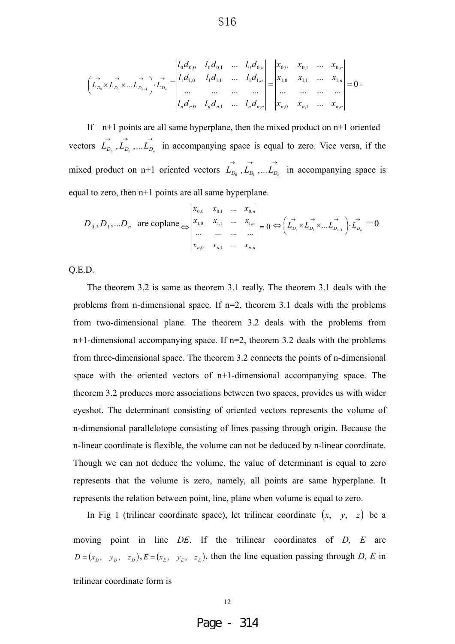$$
\left(\vec{L}_{D_0} \times \vec{L}_{D_1} \times \dots \vec{L}_{D_{n-1}}\right) \cdot \vec{L}_{D_n} = \begin{vmatrix} l_0 d_{0,0} & l_0 d_{0,1} & \dots & l_0 d_{0,n} \\ l_1 d_{1,0} & l_1 d_{1,1} & \dots & l_1 d_{1,n} \\ \dots & \dots & \dots & \dots \\ l_n d_{n,0} & l_n d_{n,1} & \dots & l_n d_{n,n} \end{vmatrix} = \begin{vmatrix} x_{0,0} & x_{0,1} & \dots & x_{0,n} \\ x_{1,0} & x_{1,1} & \dots & x_{1,n} \\ \dots & \dots & \dots & \dots \\ x_{n,0} & x_{n,1} & \dots & x_{n,n} \end{vmatrix} = 0.
$$

If n+1 points are all same hyperplane, then the mixed product on n+1 oriented vectors  $\overrightarrow{L}_{D_0}$ ,  $\rightarrow$  $L_{D_1}$  ,  $\rightarrow$ ...  $L_{D_n}$  in accompanying space is equal to zero. Vice versa, if the mixed product on n+1 oriented vectors  $\overrightarrow{L}_{D_0}$ ,  $\rightarrow$  $L_{D_1}$  ,  $\rightarrow$ ...  $L_{D_n}$  in accompanying space is equal to zero, then n+1 points are all same hyperplane.

$$
D_0, D_1, \dots D_n \text{ are coplane} \Longleftrightarrow \begin{vmatrix} x_{0,0} & x_{0,1} & \dots & x_{0,n} \\ x_{1,0} & x_{1,1} & \dots & x_{1,n} \\ \dots & \dots & \dots & \dots \\ x_{n,0} & x_{n,1} & \dots & x_{n,n} \end{vmatrix} = 0 \Leftrightarrow \left( \vec{L_{D_0}} \times \vec{L_{D_1}} \times \dots \times \vec{L_{D_{n-1}}} \right) \cdot \vec{L_{D_n}} = 0
$$

Q.E.D.

l ĺ

The theorem 3.2 is same as theorem 3.1 really. The theorem 3.1 deals with the problems from n-dimensional space. If n=2, theorem 3.1 deals with the problems from two-dimensional plane. The theorem 3.2 deals with the problems from  $n+1$ -dimensional accompanying space. If  $n=2$ , theorem 3.2 deals with the problems from three-dimensional space. The theorem 3.2 connects the points of n-dimensional space with the oriented vectors of  $n+1$ -dimensional accompanying space. The theorem 3.2 produces more associations between two spaces, provides us with wider eyeshot. The determinant consisting of oriented vectors represents the volume of n-dimensional parallelotope consisting of lines passing through origin. Because the n-linear coordinate is flexible, the volume can not be deduced by n-linear coordinate. Though we can not deduce the volume, the value of determinant is equal to zero represents that the volume is zero, namely, all points are same hyperplane. It represents the relation between point, line, plane when volume is equal to zero.

In Fig 1 (trilinear coordinate space), let trilinear coordinate  $(x, y, z)$  be a moving point in line *DE*. If the trilinear coordinates of *D, E* are  $D=(x_D, y_D, z_D), E=(x_E, y_E, z_E)$ , then the line equation passing through *D, E* in trilinear coordinate form is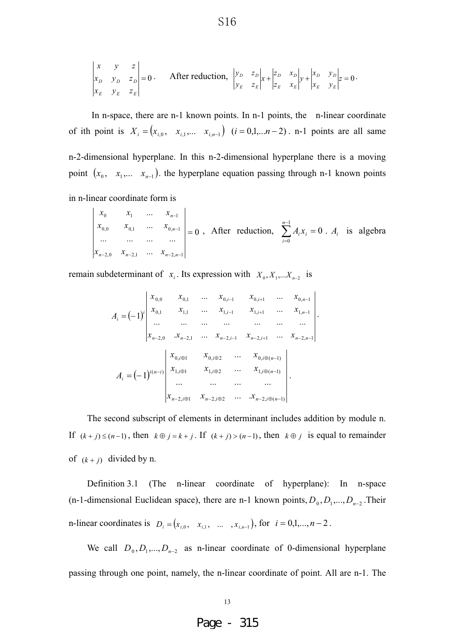$$
\begin{vmatrix} x & y & z \\ x_D & y_D & z_D \\ x_E & y_E & z_E \end{vmatrix} = 0 \quad \text{After reduction, } \quad \begin{vmatrix} y_D & z_D \\ y_E & z_E \end{vmatrix} x + \begin{vmatrix} z_D & x_D \\ z_E & x_E \end{vmatrix} y + \begin{vmatrix} x_D & y_D \\ x_E & y_E \end{vmatrix} z = 0 \, .
$$

In n-space, there are n-1 known points. In n-1 points, the n-linear coordinate of ith point is  $X_i = (x_{i,0}, x_{i,1}, \ldots, x_{i,n-1})$   $(i = 0,1, \ldots, n-2)$ . n-1 points are all same n-2-dimensional hyperplane. In this n-2-dimensional hyperplane there is a moving point  $(x_0, x_1,..., x_{n-1})$ . the hyperplane equation passing through n-1 known points

in n-linear coordinate form is

$$
\begin{vmatrix} x_0 & x_1 & \dots & x_{n-1} \\ x_{0,0} & x_{0,1} & \dots & x_{0,n-1} \\ \dots & \dots & \dots & \dots \\ x_{n-2,0} & x_{n-2,1} & \dots & x_{n-2,n-1} \end{vmatrix} = 0
$$
, After reduction, 
$$
\sum_{i=0}^{n-1} A_i x_i = 0
$$
.  $A_i$  is algebra

remain subdeterminant of  $x_i$ . Its expression with  $X_0, X_1, \ldots, X_{n-2}$  is

$$
A_{i} = (-1)^{i} \begin{vmatrix} x_{0,0} & x_{0,1} & \dots & x_{0,i-1} & x_{0,i+1} & \dots & x_{0,n-1} \\ x_{0,1} & x_{1,1} & \dots & x_{1,i-1} & x_{1,i+1} & \dots & x_{1,n-1} \\ \dots & \dots & \dots & \dots & \dots & \dots & \dots \\ x_{n-2,0} & x_{n-2,1} & \dots & x_{n-2,i-1} & x_{n-2,i+1} & \dots & x_{n-2,n-1} \end{vmatrix}.
$$

$$
A_{i} = (-1)^{i(n-i)} \begin{vmatrix} x_{0,i\oplus 1} & x_{0,i\oplus 2} & \dots & x_{0,i\oplus (n-1)} \\ x_{1,i\oplus 1} & x_{1,i\oplus 2} & \dots & x_{1,i\oplus (n-1)} \\ \dots & \dots & \dots & \dots \\ x_{n-2,i\oplus 1} & x_{n-2,i\oplus 2} & \dots & x_{n-2,i\oplus (n-1)} \end{vmatrix}.
$$

The second subscript of elements in determinant includes addition by module n. If  $(k+j) \le (n-1)$ , then  $k \oplus j = k+j$ . If  $(k+j) > (n-1)$ , then  $k \oplus j$  is equal to remainder of  $(k+j)$  divided by n.

Definition 3.1 (The n-linear coordinate of hyperplane): In n-space (n-1-dimensional Euclidean space), there are n-1 known points,  $D_0, D_1, ..., D_{n-2}$ . Their n-linear coordinates is  $D_i = (x_{i,0}, x_{i,1}, \dots, x_{i,n-1})$ , for  $i = 0,1,...,n-2$ .

We call  $D_0, D_1, ..., D_{n-2}$  as n-linear coordinate of 0-dimensional hyperplane passing through one point, namely, the n-linear coordinate of point. All are n-1. The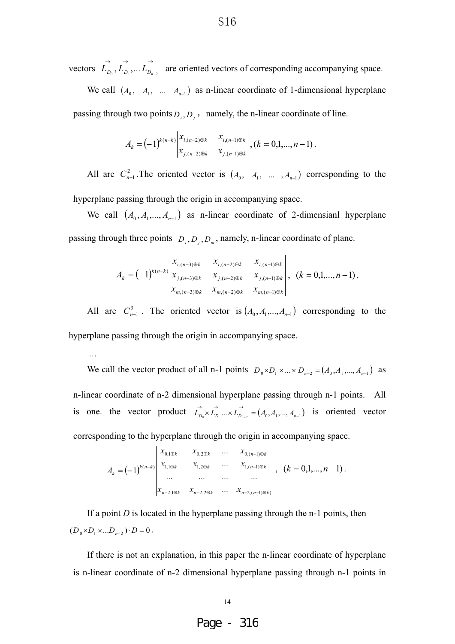vectors  $\overrightarrow{L}_{D_0}, \overrightarrow{L}_{D_1},... \overrightarrow{L}_{D_{n-2}}$  are oriented vectors of corresponding accompanying space.

We call  $(A_0, A_1, \ldots, A_{n-1})$  as n-linear coordinate of 1-dimensional hyperplane passing through two points  $D_i$ ,  $D_i$ , namely, the n-linear coordinate of line.

$$
A_k = (-1)^{k(n-k)} \begin{vmatrix} x_{i,(n-2)\oplus k} & x_{i,(n-1)\oplus k} \\ x_{j,(n-2)\oplus k} & x_{j,(n-1)\oplus k} \end{vmatrix}, (k = 0,1,...,n-1).
$$

All are  $C_{n-1}^2$ . The oriented vector is  $(A_0, A_1, \ldots, A_{n-1})$  corresponding to the

hyperplane passing through the origin in accompanying space.

…

We call  $(A_0, A_1, ..., A_{n-1})$  as n-linear coordinate of 2-dimensianl hyperplane passing through three points  $D_i, D_i, D_m$ , namely, n-linear coordinate of plane.

$$
A_k = (-1)^{k(n-k)} \begin{vmatrix} x_{i,(n-3)\oplus k} & x_{i,(n-2)\oplus k} & x_{i,(n-1)\oplus k} \\ x_{j,(n-3)\oplus k} & x_{j,(n-2)\oplus k} & x_{j,(n-1)\oplus k} \\ x_{m,(n-3)\oplus k} & x_{m,(n-2)\oplus k} & x_{m,(n-1)\oplus k} \end{vmatrix}, (k = 0,1,...,n-1).
$$

All are  $C_{n-1}^3$ . The oriented vector is  $(A_0, A_1, ..., A_{n-1})$  corresponding to the hyperplane passing through the origin in accompanying space.

We call the vector product of all n-1 points  $D_0 \times D_1 \times ... \times D_{n-2} = (A_0, A_1, ..., A_{n-1})$  as n-linear coordinate of n-2 dimensional hyperplane passing through n-1 points. All is one. the vector product  $\overrightarrow{L}_{D_0} \times \overrightarrow{L}_{D_1} \dots \times \overrightarrow{L}_{D_{n-2}} = (A_0, A_1, \dots, A_{n-1})$  is oriented vector corresponding to the hyperplane through the origin in accompanying space.

$$
A_k = (-1)^{k(n-k)} \begin{vmatrix} x_{0,1 \oplus k} & x_{0,2 \oplus k} & \dots & x_{0,(n-1) \oplus k} \\ x_{1,1 \oplus k} & x_{1,2 \oplus k} & \dots & x_{1,(n-1) \oplus k} \\ \dots & \dots & \dots & \dots \\ x_{n-2,1 \oplus k} & x_{n-2,2 \oplus k} & \dots & x_{n-2,(n-1) \oplus k} \end{vmatrix}, (k = 0,1,...,n-1).
$$

If a point *D* is located in the hyperplane passing through the n-1 points, then  $(D_0 \times D_1 \times ... D_{n-2}) \cdot D = 0$ .

If there is not an explanation, in this paper the n-linear coordinate of hyperplane is n-linear coordinate of n-2 dimensional hyperplane passing through n-1 points in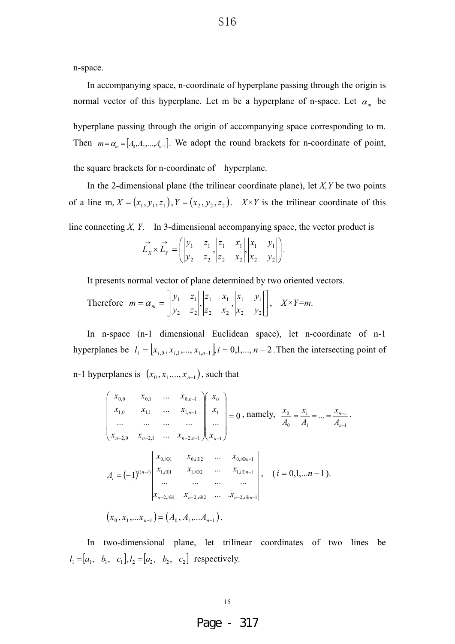n-space.

In accompanying space, n-coordinate of hyperplane passing through the origin is normal vector of this hyperplane. Let m be a hyperplane of n-space. Let  $\alpha_m$  be hyperplane passing through the origin of accompanying space corresponding to m. Then  $m = \alpha_m = [A_0, A_2, \dots, A_{n-1}]$ . We adopt the round brackets for n-coordinate of point, the square brackets for n-coordinate of hyperplane.

In the 2-dimensional plane (the trilinear coordinate plane), let *X,Y* be two points of a line m,  $X = (x_1, y_1, z_1)$ ,  $Y = (x_2, y_2, z_2)$ .  $X \times Y$  is the trilinear coordinate of this

line connecting *X, Y*. In 3-dimensional accompanying space, the vector product is

$$
\overrightarrow{L}_X \times \overrightarrow{L}_Y = \begin{pmatrix} y_1 & z_1 \\ y_2 & z_2 \end{pmatrix}, \begin{vmatrix} z_1 & x_1 \\ z_2 & x_2 \end{vmatrix}, \begin{vmatrix} x_1 & y_1 \\ x_2 & y_2 \end{vmatrix}.
$$

It presents normal vector of plane determined by two oriented vectors.

Therefore 
$$
m = \alpha_m = \begin{bmatrix} y_1 & z_1 \ y_2 & z_2 \end{bmatrix}, \begin{vmatrix} z_1 & x_1 \ z_2 & x_2 \end{vmatrix}, \begin{vmatrix} x_1 & y_1 \ x_2 & y_2 \end{vmatrix}, X \times Y = m.
$$

In n-space (n-1 dimensional Euclidean space), let n-coordinate of n-1 hyperplanes be  $l_i = [x_{i,0}, x_{i,1},..., x_{i,n-1}]$   $i = 0,1,..., n-2$ . Then the intersecting point of

n-1 hyperplanes is  $(x_0, x_1, ..., x_{n-1})$ , such that

$$
\begin{pmatrix}\nx_{0,0} & x_{0,1} & \dots & x_{0,n-1} \\
x_{1,0} & x_{1,1} & \dots & x_{1,n-1} \\
\vdots & \vdots & \ddots & \vdots \\
x_{n-2,0} & x_{n-2,1} & \dots & x_{n-2,n-1}\n\end{pmatrix}\n\begin{pmatrix}\nx_0 \\
x_1 \\
\vdots \\
x_{n-1}\n\end{pmatrix} = 0, \text{ namely, } \frac{x_0}{A_0} = \frac{x_1}{A_1} = \dots = \frac{x_{n-1}}{A_{n-1}}.
$$
\n
$$
A_1 = (-1)^{i(n-i)} \begin{vmatrix}\nx_{0,i\oplus 1} & x_{0,i\oplus 2} & \dots & x_{0,i\oplus n-1} \\
x_{1,i\oplus 1} & x_{1,i\oplus 2} & \dots & x_{1,i\oplus n-1} \\
\vdots & \vdots & \ddots & \vdots \\
x_{n-2,i\oplus 1} & x_{n-2,i\oplus 2} & \dots & x_{n-2,i\oplus n-1}\n\end{pmatrix}, \quad (i = 0,1,...n-1).
$$
\n
$$
(x_0, x_1,...x_{n-1}) = (A_0, A_1,...A_{n-1}).
$$

In two-dimensional plane, let trilinear coordinates of two lines be  $l_1 = [a_1, b_1, c_1], l_2 = [a_2, b_2, c_2]$  respectively.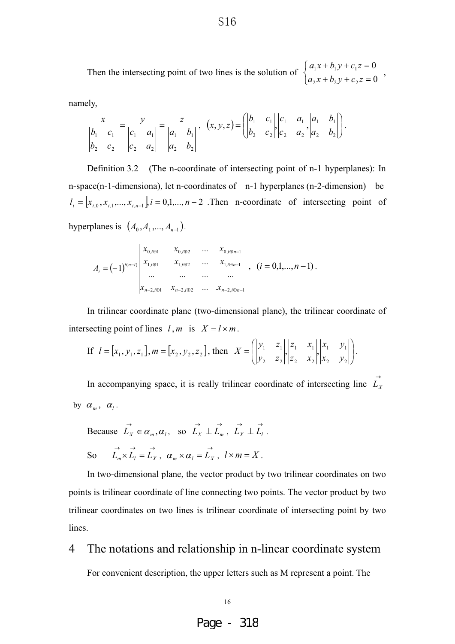Then the intersecting point of two lines is the solution of  $\overline{\mathcal{L}}$  $\left\{ \right.$  $\int$  $+ h<sub>2</sub> v + c<sub>2</sub> z =$  $+ h \cdot v + c \cdot z =$ 0 0  $2^{x}$   $v_2$   $y$   $v_2$  $1^{1}$   $0^{1}$   $1^{1}$   $0^{1}$  $a_2x + b_2y + c_2z$  $a_1x + b_1y + c_1z = 0$ ,

namely,

$$
\frac{x}{\begin{vmatrix} b_1 & c_1 \\ b_2 & c_2 \end{vmatrix}} = \frac{y}{\begin{vmatrix} c_1 & a_1 \\ c_2 & a_2 \end{vmatrix}} = \frac{z}{\begin{vmatrix} a_1 & b_1 \\ a_2 & b_2 \end{vmatrix}}, (x, y, z) = \begin{pmatrix} \begin{vmatrix} b_1 & c_1 \\ b_2 & c_2 \end{vmatrix}, \begin{vmatrix} c_1 & a_1 \\ c_2 & a_2 \end{vmatrix}, \begin{vmatrix} a_1 & b_1 \\ a_2 & b_2 \end{vmatrix} \end{pmatrix}.
$$

Definition 3.2 (The n-coordinate of intersecting point of n-1 hyperplanes): In n-space(n-1-dimensiona), let n-coordinates of n-1 hyperplanes (n-2-dimension) be  $l_i = [x_{i,0}, x_{i,1},..., x_{i,n-1}]$ ,  $i = 0,1,..., n-2$ . Then n-coordinate of intersecting point of hyperplanes is  $(A_0, A_1, ..., A_{n-1})$ .

$$
A_i = (-1)^{i(n-i)} \begin{vmatrix} x_{0,i \oplus 1} & x_{0,i \oplus 2} & \dots & x_{0,i \oplus n-1} \\ x_{1,i \oplus 1} & x_{1,i \oplus 2} & \dots & x_{1,i \oplus n-1} \\ \dots & \dots & \dots & \dots \\ x_{n-2,i \oplus 1} & x_{n-2,i \oplus 2} & \dots & x_{n-2,i \oplus n-1} \end{vmatrix}, (i = 0,1,...,n-1).
$$

In trilinear coordinate plane (two-dimensional plane), the trilinear coordinate of intersecting point of lines  $l, m$  is  $X = l \times m$ .

If 
$$
l = [x_1, y_1, z_1]
$$
,  $m = [x_2, y_2, z_2]$ , then  $X = \begin{pmatrix} y_1 & z_1 \ y_2 & z_2 \end{pmatrix} \begin{vmatrix} z_1 & x_1 \ z_2 & x_2 \end{vmatrix} \begin{vmatrix} x_1 & y_1 \ x_2 & y_2 \end{vmatrix}$ .

In accompanying space, it is really trilinear coordinate of intersecting line  $\overrightarrow{L}_\lambda$ by  $\alpha_m$ ,  $\alpha_l$ .

Because 
$$
\overrightarrow{L}_X \in \alpha_m, \alpha_l
$$
, so  $\overrightarrow{L}_X \perp \overrightarrow{L}_m$ ,  $\overrightarrow{L}_X \perp \overrightarrow{L}_l$ .  
So  $\overrightarrow{L}_m \times \overrightarrow{L}_l = \overrightarrow{L}_X$ ,  $\alpha_m \times \alpha_l = \overrightarrow{L}_X$ ,  $l \times m = X$ .

In two-dimensional plane, the vector product by two trilinear coordinates on two points is trilinear coordinate of line connecting two points. The vector product by two trilinear coordinates on two lines is trilinear coordinate of intersecting point by two lines.

## 4 The notations and relationship in n-linear coordinate system

For convenient description, the upper letters such as M represent a point. The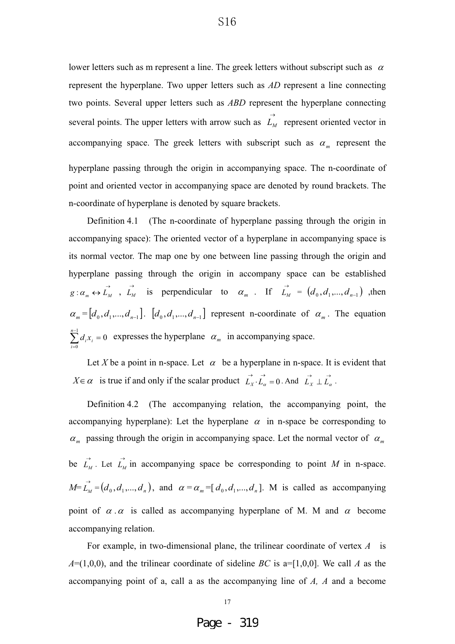lower letters such as m represent a line. The greek letters without subscript such as  $\alpha$ represent the hyperplane. Two upper letters such as *AD* represent a line connecting two points. Several upper letters such as *ABD* represent the hyperplane connecting several points. The upper letters with arrow such as  $\overrightarrow{L}_M$  represent oriented vector in accompanying space. The greek letters with subscript such as  $\alpha_m$  represent the hyperplane passing through the origin in accompanying space. The n-coordinate of point and oriented vector in accompanying space are denoted by round brackets. The n-coordinate of hyperplane is denoted by square brackets.

Definition 4.1 (The n-coordinate of hyperplane passing through the origin in accompanying space): The oriented vector of a hyperplane in accompanying space is its normal vector. The map one by one between line passing through the origin and hyperplane passing through the origin in accompany space can be established  $g: \alpha_m \leftrightarrow \vec{L}_M$ ,  $\vec{L}_M$  is perpendicular to  $\alpha_m$ . If  $\vec{L}_M = (d_0, d_1, ..., d_{n-1})$ , then  $\alpha_m = [d_0, d_1, ..., d_{n-1}]$ .  $[d_0, d_1, ..., d_{n-1}]$  represent n-coordinate of  $\alpha_m$ . The equation  $\sum_{n=1}^{n-1}$ Ξ  $\int d_{i}x_{i} =$ 0  $\sum_{i=1}^{n-1} d_i x_i = 0$  $\sum_{i=0} d_i x_i = 0$  expresses the hyperplane  $\alpha_m$  in accompanying space.

Let X be a point in n-space. Let  $\alpha$  be a hyperplane in n-space. It is evident that  $X \in \alpha$  is true if and only if the scalar product  $\overrightarrow{L_x} \cdot \overrightarrow{L_a} = 0$ . And  $\overrightarrow{L_x} \perp \overrightarrow{L_a}$ .

Definition 4.2 (The accompanying relation, the accompanying point, the accompanying hyperplane): Let the hyperplane  $\alpha$  in n-space be corresponding to  $\alpha_m$  passing through the origin in accompanying space. Let the normal vector of  $\alpha_m$ be  $\overrightarrow{L}_M$ . Let  $\overrightarrow{L}_M$  in accompanying space be corresponding to point *M* in n-space.  $M = L_M^{\rightarrow} = (d_0, d_1, ..., d_n)$ , and  $\alpha = \alpha_m = [d_0, d_1, ..., d_n]$ . M is called as accompanying point of  $\alpha$ .  $\alpha$  is called as accompanying hyperplane of M. M and  $\alpha$  become accompanying relation.

For example, in two-dimensional plane, the trilinear coordinate of vertex *A* is  $A=(1,0,0)$ , and the trilinear coordinate of sideline *BC* is a=[1,0,0]. We call *A* as the accompanying point of a, call a as the accompanying line of *A, A* and a become

17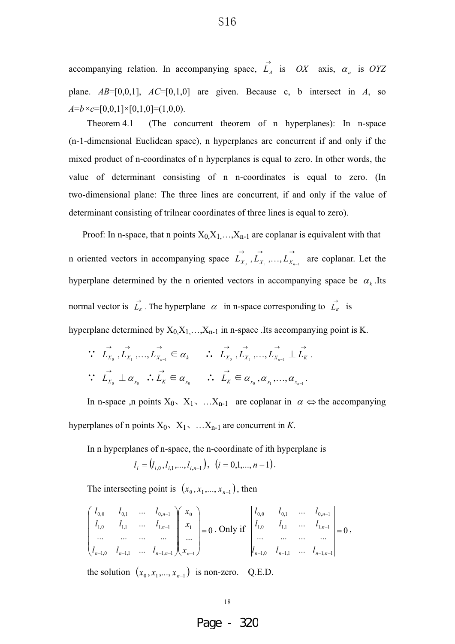accompanying relation. In accompanying space,  $\overrightarrow{L}_A$  is *OX* axis,  $\alpha_a$  is *OYZ* plane. *AB*=[0,0,1], *AC*=[0,1,0] are given. Because c, b intersect in *A*, so *A*=*b×c*=[0,0,1]×[0,1,0]=(1,0,0).

Theorem 4.1 (The concurrent theorem of n hyperplanes): In n-space (n-1-dimensional Euclidean space), n hyperplanes are concurrent if and only if the mixed product of n-coordinates of n hyperplanes is equal to zero. In other words, the value of determinant consisting of n n-coordinates is equal to zero. (In two-dimensional plane: The three lines are concurrent, if and only if the value of determinant consisting of trilnear coordinates of three lines is equal to zero).

Proof: In n-space, that n points  $X_0, X_1, \ldots, X_{n-1}$  are coplanar is equivalent with that n oriented vectors in accompanying space  $\overrightarrow{L_{X_0}}$ ,  $\overrightarrow{L}_{X_1}$ , ...,  $\overrightarrow{L}_{X_{n-1}}$  are coplanar. Let the hyperplane determined by the n oriented vectors in accompanying space be  $\alpha_k$ .Its normal vector is  $\vec{L}_K$ . The hyperplane  $\alpha$  in n-space corresponding to  $\vec{L}_K$  is hyperplane determined by  $X_0, X_1, \ldots, X_{n-1}$  in n-space .Its accompanying point is K.

$$
\begin{array}{lll}\n\therefore & \overrightarrow{L_{X_0}}, \overrightarrow{L_{X_1}}, \dots, \overrightarrow{L_{X_{n-1}}} \in \alpha_k \\
\therefore & \overrightarrow{L_{X_0}}, \overrightarrow{L_{X_0}}, \overrightarrow{L_{X_1}}, \dots, \overrightarrow{L_{X_{n-1}}} \perp \overrightarrow{L_K} \\
\therefore & \overrightarrow{L_{X_0}} \perp \alpha_{X_0} \quad \therefore \overrightarrow{L_K} \in \alpha_{X_0} \quad \therefore \quad \overrightarrow{L_K} \in \alpha_{X_0}, \alpha_{X_1}, \dots, \alpha_{X_{n-1}}.\n\end{array}
$$

In n-space ,n points  $X_0$ ,  $X_1$ , ... $X_{n-1}$  are coplanar in  $\alpha \Leftrightarrow$  the accompanying hyperplanes of n points  $X_0$ ,  $X_1$ , ...  $X_{n-1}$  are concurrent in *K*.

In n hyperplanes of n-space, the n-coordinate of ith hyperplane is

$$
l_i = (l_{i,0}, l_{i,1}, \ldots, l_{i,n-1}), \ (i = 0,1, \ldots, n-1).
$$

The intersecting point is  $(x_0, x_1, ..., x_{n-1})$ , then

$$
\begin{pmatrix} l_{0,0} & l_{0,1} & \dots & l_{0,n-1} \\ l_{1,0} & l_{1,1} & \dots & l_{1,n-1} \\ \dots & \dots & \dots & \dots \\ l_{n-1,0} & l_{n-1,1} & \dots & l_{n-1,n-1} \end{pmatrix} \begin{pmatrix} x_0 \\ x_1 \\ \dots \\ x_{n-1} \end{pmatrix} = 0.
$$
 Only if 
$$
\begin{vmatrix} l_{0,0} & l_{0,1} & \dots & l_{0,n-1} \\ l_{1,0} & l_{1,1} & \dots & l_{1,n-1} \\ \dots & \dots & \dots & \dots \\ l_{n-1,0} & l_{n-1,1} & \dots & l_{n-1,n-1} \end{vmatrix} = 0,
$$

the solution  $(x_0, x_1, ..., x_{n-1})$  is non-zero. Q.E.D.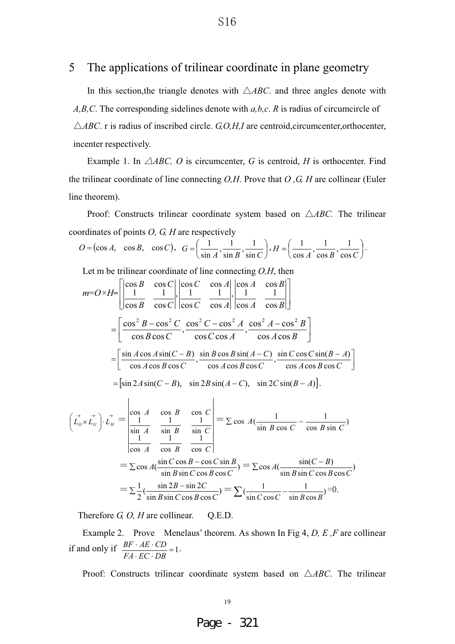# 5 The applications of trilinear coordinate in plane geometry

In this section, the triangle denotes with  $\triangle ABC$ . and three angles denote with *A,B,C*. The corresponding sidelines denote with *a,b,c*. *R* is radius of circumcircle of  $\triangle ABC$ . r is radius of inscribed circle. *G, O, H, I* are centroid, circumcenter, orthocenter, incenter respectively.

Example 1. In  $\triangle ABC$ , O is circumcenter, G is centroid, H is orthocenter. Find the trilinear coordinate of line connecting *O,H*. Prove that *O ,G, H* are collinear (Euler line theorem).

Proof: Constructs trilinear coordinate system based on  $\triangle ABC$ . The trilinear coordinates of points *O, G, H* are respectively

$$
O = (\cos A, \cos B, \cos C), G = \left(\frac{1}{\sin A}, \frac{1}{\sin B}, \frac{1}{\sin C}\right), H = \left(\frac{1}{\cos A}, \frac{1}{\cos B}, \frac{1}{\cos C}\right).
$$

Let m be trilinear coordinate of line connecting *O, H*, then  
\n
$$
m=O\times H = \begin{bmatrix} \cos B & \cos C \\ \frac{1}{\cos B} & \frac{1}{\cos C} \end{bmatrix} \begin{bmatrix} \cos C & \cos A \\ \frac{1}{\cos C} & \frac{1}{\cos A} \end{bmatrix} \begin{bmatrix} \cos A & \cos B \\ \frac{1}{\cos A} & \frac{1}{\cos B} \end{bmatrix}
$$
\n
$$
= \begin{bmatrix} \frac{\cos^2 B - \cos^2 C}{\cos B \cos C}, \frac{\cos^2 C - \cos^2 A}{\cos C \cos A}, \frac{\cos^2 A - \cos^2 B}{\cos A \cos B} \end{bmatrix}
$$
\n
$$
= \begin{bmatrix} \frac{\sin A \cos A \sin(C - B)}{\cos A \cos B \cos C}, \frac{\sin B \cos B \sin(A - C)}{\cos A \cos B \cos C}, \frac{\sin C \cos C \sin(B - A)}{\cos A \cos B \cos C} \end{bmatrix}
$$
\n
$$
= [\sin 2A \sin(C - B), \sin 2B \sin(A - C), \sin 2C \sin(B - A)].
$$
\n
$$
\begin{bmatrix} \vec{L}_0 \times \vec{L}_0 \\ \vec{L}_0 \times \vec{L}_0 \end{bmatrix} \cdot \vec{L}_H = \begin{bmatrix} \cos A & \cos B & \cos C \\ \frac{1}{\sin A} & \frac{1}{\sin B} & \frac{1}{\sin C} \\ \frac{1}{\cos A} & \frac{1}{\cos B} & \frac{1}{\cos C} \end{bmatrix} = \sum \cos A(\frac{1}{\sin B \cos C} - \frac{1}{\cos B \sin C})
$$
\n
$$
= \sum \cos A(\frac{\sin C \cos B - \cos C \sin B}{\sin B \sin C \cos B \cos C}) = \sum \frac{1}{\sin B \cos C} \cdot \frac{\sin(C - B)}{\sin B \cos B} = \sum \frac{1}{\sin B \cos B} \cdot \frac{\sin C}{\cos B} = \sum \frac{1}{\sin B \cos B} \cdot \frac{\sin C}{\cos B} = \sum (\frac{1}{\sin B \cos B}) = 0.
$$

Therefore *G, O, H* are collinear. Q.E.D.

19

Example 2. Prove Menelaus' theorem. As shown In Fig 4, *D, E ,F* are collinear if and only if  $\frac{BF \cdot AE \cdot CD}{FA \cdot EC \cdot DB} = 1$  $FA \cdot EC \cdot DB$  $\frac{BF \cdot AE \cdot CD}{T} = 1$ .

Proof: Constructs trilinear coordinate system based on  $\triangle ABC$ . The trilinear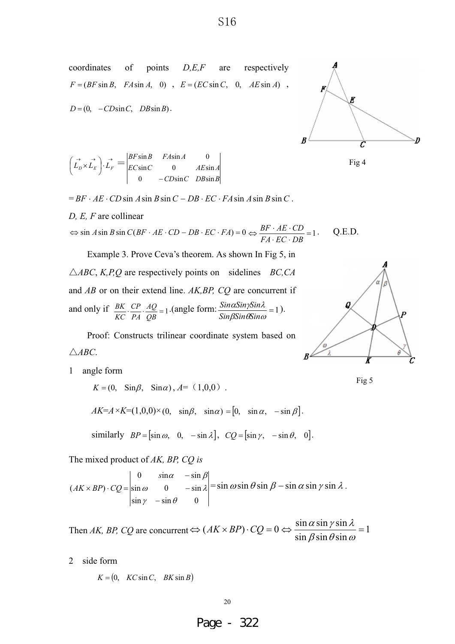coordinates of points 
$$
D,E,F
$$
 are respectively  
\n $F = (BF \sin B, FA \sin A, 0), E = (EC \sin C, 0, AE \sin A),$   
\n $D = (0, -CD \sin C, DB \sin B).$ 

 $\left( \vec{L_D} \times \vec{L_E} \right) \cdot \vec{L_I}$  $\left(\vec{L}_{\scriptscriptstyle D}\times\vec{L}_{\scriptscriptstyle E}\right)\cdot\vec{L}_{\scriptscriptstyle F}^{\scriptscriptstyle\rightarrow} =$ *CDsinC DBsinB CEC*sin*C* 0 *AE*sin*A BF* sin *B FA*sin *A* 0  $-CD\sin C$   $DB\sin$  $\sin C$  0 *AE*sin  $\sin B$   $FA\sin A$  0  $\overline{a}$ 

 $= BF \cdot AE \cdot CD \sin A \sin B \sin C - DB \cdot EC \cdot FA \sin A \sin B \sin C$ .

*D, E, F* are collinear

 $\Leftrightarrow$  sin *A* sin *B* sin *C*(*BF* · *AE* · *CD* – *DB* · *EC* · *FA*) = 0  $\Leftrightarrow$   $\frac{BF \cdot AE \cdot CD}{FA \cdot EC \cdot DB}$  = 1  $FA \cdot EC \cdot DB$  $\frac{BF \cdot AE \cdot CD}{F} = 1$ . Q.E.D.

Example 3. Prove Ceva's theorem. As shown In Fig 5, in Ƹ*ABC*, *K,P,Q* are respectively points on sidelines *BC,CA* and *AB* or on their extend line. *AK,BP, CQ* are concurrent if and only if  $\frac{BK}{KC} \cdot \frac{CP}{PA} \cdot \frac{AQ}{QB} = 1$ *AQ PA CP KC*  $\frac{BK}{d}$ .  $\frac{CP}{d}$ .  $\frac{AQ}{d}$  = 1. (angle form:  $\frac{Sin\alpha Sin\gamma Sin\alpha}{Sin\alpha Sin\gamma Sin}$  = 1  $\beta$ Sin $\theta$ Sin $\omega$ αSinγSin $\lambda$ *SinSinSin*  $\frac{Sin\alpha Sin\gamma Sin\lambda}{Im\beta Im\beta Im\lambda} = 1$ .

Proof: Constructs trilinear coordinate system based on Ƹ*ABC*.

1 angle form

 $K = (0, \, \sin \beta, \, \sin \alpha), A = (1,0,0)$ .  $AK=A \times K=(1,0,0) \times (0, \sin\beta, \sin\alpha) = [0, \sin\alpha, -\sin\beta].$ similarly  $BP = [\sin \omega, 0, -\sin \lambda], CQ = [\sin \gamma, -\sin \theta, 0].$ 

The mixed product of *AK, BP, CQ is*

$$
(AK \times BP) \cdot CQ = \begin{vmatrix} 0 & \sin\alpha & -\sin\beta \\ \sin\omega & 0 & -\sin\lambda \\ \sin\gamma & -\sin\theta & 0 \end{vmatrix} = \sin\omega\sin\theta\sin\beta - \sin\alpha\sin\gamma\sin\lambda.
$$

Then AK, BP, CQ are concurrent  $\Leftrightarrow$   $(AK \times BP) \cdot CQ = 0 \Leftrightarrow \frac{\sin \alpha \sin \beta \sin \alpha}{\alpha \cos \beta} = 1$  $\Leftrightarrow (AK \times BP) \cdot CQ = 0 \Leftrightarrow \frac{\sin \alpha \sin \gamma \sin \lambda}{\sin \beta \sin \theta \sin \omega} =$ 

2 side form

 $K = (0, KC \sin C, BK \sin B)$ 

20



р

Q



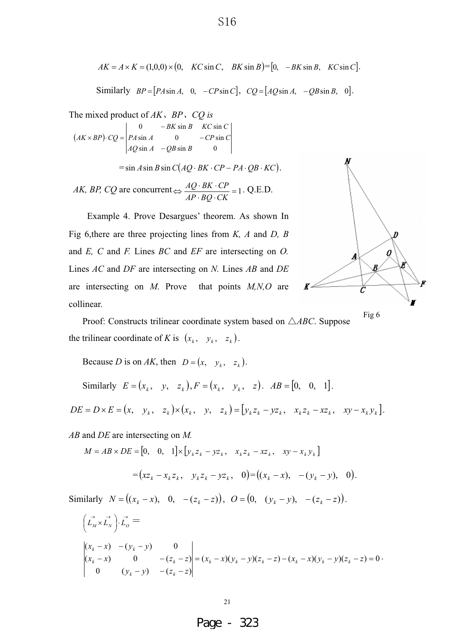$$
AK = A \times K = (1,0,0) \times (0, KC \sin C, BK \sin B) = [0, -BK \sin B, KC \sin C].
$$

Similarly  $BP = [P A \sin A, 0, -CP \sin C], CQ = [AQ \sin A, -QB \sin B, 0].$ 

The mixed product of *AK*ǃ*BP*ǃ*CQ is*  $(AK \times BP)$  $\sin A$  – QB sin B 0  $\sin A$  0  $-CP \sin$ 0  $-BK \sin B$   $KC \sin A$  $AQ \sin A - QB \sin B$  $P A \sin A$  0  $-CP \sin C$ *BK* sin *B KC* sin *C AK* × BP) $\cdot$  CQ  $\overline{a}$  $\overline{a}$  $\overline{a}$  $\times BP$ ).  $CO =$  $=$ sin Asin Bsin  $C(AQ \cdot BK \cdot CP - PA \cdot QB \cdot KC)$ . *AK, BP, CQ* are concurrent  $\Leftrightarrow \frac{AQ \cdot BK \cdot CP}{AP \cdot BO \cdot CK} = 1$ *AP* · *BQ* · CK  $\frac{AQ \cdot BK \cdot CP}{Q} = 1$ . Q.E.D.

Example 4. Prove Desargues' theorem. As shown In Fig 6,there are three projecting lines from *K, A* and *D, B* and *E, C* and *F.* Lines *BC* and *EF* are intersecting on *O.* Lines *AC* and *DF* are intersecting on *N.* Lines *AB* and *DE* are intersecting on *M*. Prove that points *M,N,O* are collinear.



Proof: Constructs trilinear coordinate system based on  $\triangle ABC$ . Suppose the trilinear coordinate of *K* is  $(x_k, y_k, z_k)$ .

Because *D* is on *AK*, then  $D = (x, y_k, z_k)$ .

Similarly  $E = (x_k, y, z_k)$ ,  $F = (x_k, y_k, z)$ .  $AB = [0, 0, 1]$ .

 $DE = D \times E = (x, y_k, z_k) \times (x_k, y, z_k) = [y_k z_k - y z_k, x_k z_k - x z_k, xy - x_k y_k].$ 

*AB* and *DE* are intersecting on *M.*

21

$$
M = AB \times DE = [0, 0, 1] \times [y_k z_k - y z_k, x_k z_k - x z_k, xy - x_k y_k]
$$
  
=  $(xz_k - x_k z_k, y_k z_k - y z_k, 0) = ((x_k - x), -(y_k - y), 0).$ 

Similarly  $N = ((x_k - x), 0, -(z_k - z)), O = (0, (y_k - y), -(z_k - z)).$ 

$$
\begin{aligned}\n\left(\vec{L}_M \times \vec{L}_N\right) \cdot \vec{L}_O &= \\
(x_k - x) - (y_k - y) & 0 \\
(x_k - x) & 0 - (z_k - z) \\
0 & (y_k - y) - (z_k - z)\n\end{aligned}
$$
\n
$$
= (x_k - x)(y_k - y)(z_k - z) - (x_k - x)(y_k - y)(z_k - z) = 0.
$$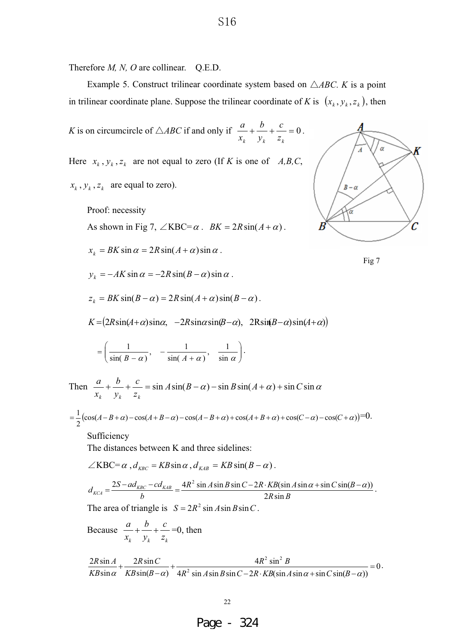Therefore *M, N, O* are collinear. Q.E.D.

Example 5. Construct trilinear coordinate system based on  $\triangle ABC$ . *K* is a point in trilinear coordinate plane. Suppose the trilinear coordinate of *K* is  $(x_k, y_k, z_k)$ , then

*K* is on circumcircle of  $\triangle ABC$  if and only if  $\frac{a}{m} + \frac{b}{m} + \frac{c}{m} = 0$ *k*  $y_k$   $z_k$ *c y b x*  $\frac{a}{c} + \frac{b}{c} + \frac{c}{c} = 0$ .

Here  $x_k$ ,  $y_k$ ,  $z_k$  are not equal to zero (If *K* is one of *A,B,C*,

 $x_k$ ,  $y_k$ ,  $z_k$  are equal to zero).

Proof: necessity

As shown in Fig 7,  $\angle$ KBC=  $\alpha$ .  $BK = 2R\sin(A + \alpha)$ .

 $x_k = BK \sin \alpha = 2R \sin(A + \alpha) \sin \alpha$ .

 $y_k = -AK \sin \alpha = -2R \sin(B - \alpha) \sin \alpha$ .

$$
z_k = BK \sin(B - \alpha) = 2R \sin(A + \alpha) \sin(B - \alpha).
$$

 $K = (2R\sin(A+\alpha)\sin\alpha, -2R\sin\alpha\sin(\beta-\alpha), 2R\sin(B-\alpha)\sin(A+\alpha))$ 

$$
= \left(\frac{1}{\sin(B-\alpha)}, -\frac{1}{\sin(A+\alpha)}, \frac{1}{\sin\alpha}\right).
$$

Then  $\frac{\alpha}{\alpha} + \frac{\beta}{\alpha} + \frac{\beta}{\alpha} = \sin A \sin(B - \alpha) - \sin B \sin(A + \alpha) + \sin C \sin \alpha$ *z c y b x a*  $k$   $\mathcal{Y}_k$   $\mathcal{L}_k$  $+\frac{b}{2}+\frac{c}{2}=\sin A\sin(B-\alpha)-\sin B\sin(A+\alpha)+$ 

$$
=\frac{1}{2}(\cos(A-B+\alpha)-\cos(A+B-\alpha)-\cos(A-B+\alpha)+\cos(A+B+\alpha)+\cos(C-\alpha)-\cos(C+\alpha))=0.
$$

Sufficiency

The distances between K and three sidelines:

$$
\angle\text{KBC} = \alpha \,, d_{KBC} = KB \sin\alpha \,, d_{KAB} = KB \sin(B - \alpha) \,.
$$
  

$$
d_{KCA} = \frac{2S - ad_{KBC} - cd_{KAB}}{b} = \frac{4R^2 \sin A \sin B \sin C - 2R \cdot KB(\sin A \sin \alpha + \sin C \sin(B - \alpha))}{2R \sin B}.
$$

The area of triangle is  $S = 2R^2 \sin A \sin B \sin C$ .

22

Because 
$$
\frac{a}{x_k} + \frac{b}{y_k} + \frac{c}{z_k} = 0
$$
, then

0  $4R^2 \sin A \sin B \sin C - 2R \cdot KB(\sin A \sin \alpha + \sin C \sin(\beta - \alpha))$  $4R^2$  sin  $sin(B-\alpha)$  $2R \sin$ sin  $2R \sin$ 2  $\frac{A}{\alpha} + \frac{2R\sin C}{KB\sin(B-\alpha)} + \frac{4R^2\sin^2 B}{4R^2\sin A\sin B\sin C - 2R\cdot KB(\sin A\sin\alpha + \sin C\sin(B-\alpha))} =$  $R^2$  sin<sup>2</sup> B *KB*sin(*B CR KB*  $R\sin A$   $2R\sin C$ <br> $+$   $2R\sin C$ <br> $+$   $2R\sin C$ <br> $+$   $2R\sin C$ <br> $+$   $2R\sin C$ <br> $+$   $2R\sin C$ <br> $+$   $2R\sin C$ 



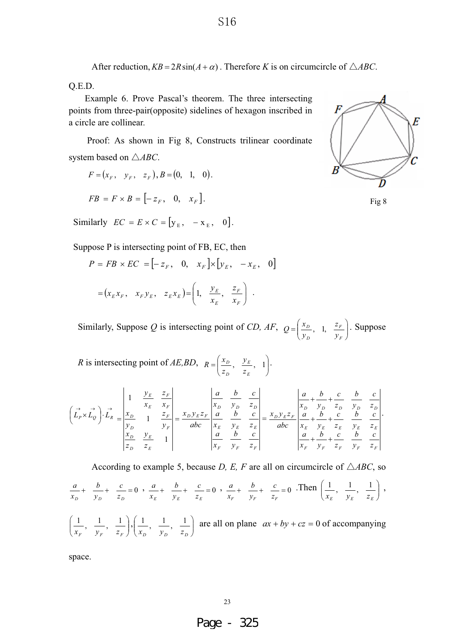After reduction,  $KB = 2R \sin(A + \alpha)$ . Therefore *K* is on circumcircle of  $\triangle ABC$ .

Q.E.D.

Example 6. Prove Pascal's theorem. The three intersecting points from three-pair(opposite) sidelines of hexagon inscribed in a circle are collinear.

Proof: As shown in Fig 8, Constructs trilinear coordinate system based on  $\triangle ABC$ .

$$
F = (x_F, y_F, z_F), B = (0, 1, 0).
$$
  
FB =  $F \times B = [-z_F, 0, x_F].$ 

Similarly  $EC = E \times C = [y_E, -x_E, 0].$ 

Suppose P is intersecting point of FB, EC, then

$$
P = FB \times EC = [-z_F, 0, x_F] \times [y_E, -x_E, 0]
$$

$$
= (x_E x_F, x_F y_E, z_E x_E) = \left(1, \frac{y_E}{x_E}, \frac{z_F}{x_F}\right).
$$

Similarly, Suppose Q is intersecting point of CD, AF,  $Q = \left(\frac{x_D}{x} \cdot 1, \frac{z_F}{x}\right)$  $\big)$  $\backslash$  $\mid$ ∖  $=$  $($ *F F D D y z y*  $Q = \left(\frac{x_D}{x} \right)$ , 1,  $\frac{z_F}{x}$ . Suppose

*R* is intersecting point of *AE,BD*,  $R = \frac{x_D}{a}$ ,  $\frac{y_E}{a}$ , 1  $\bigg)$  $\backslash$  $\overline{\phantom{a}}$ l  $=\left(\frac{x_D}{x}, \frac{y_E}{x}, 1\right)$ *E E D D z y z*  $R = \left(\frac{x_D}{x}, \frac{y_E}{x}, 1\right).$ 

$$
\left(\vec{L}_{P} \times \vec{L}_{Q}\right) \cdot \vec{L}_{R} = \begin{vmatrix} 1 & \frac{y_{E}}{x_{E}} & \frac{z_{F}}{x_{F}} \\ \frac{x_{D}}{y_{D}} & 1 & \frac{z_{F}}{y_{F}} \\ \frac{x_{D}}{z_{D}} & \frac{y_{E}}{z_{E}} & 1 \end{vmatrix} = \frac{x_{D}y_{E}z_{F}}{abc} \begin{vmatrix} \frac{a}{x_{D}} & \frac{b}{y_{D}} & \frac{c}{z_{D}} \\ \frac{a}{x_{E}} & \frac{b}{y_{E}} & \frac{c}{z_{E}} \\ \frac{a}{x_{E}} & \frac{b}{y_{E}} & \frac{c}{z_{E}} \\ \frac{a}{x_{F}} & \frac{b}{y_{F}} & \frac{c}{z_{F}} \end{vmatrix} = \frac{x_{D}y_{E}z_{F}}{abc} \begin{vmatrix} \frac{a}{x_{D}} + \frac{b}{y_{D}} + \frac{c}{z_{D}} & \frac{b}{y_{D}} & \frac{c}{z_{D}} \\ \frac{a}{x_{E}} + \frac{b}{y_{E}} + \frac{c}{z_{E}} & \frac{b}{y_{E}} & \frac{c}{z_{E}} \\ \frac{a}{x_{F}} + \frac{b}{y_{F}} + \frac{c}{z_{F}} & \frac{b}{y_{F}} & \frac{c}{z_{F}} \end{vmatrix}.
$$

According to example 5, because *D, E, F* are all on circumcircle of  $\triangle ABC$ , so

$$
\frac{a}{x_D} + \frac{b}{y_D} + \frac{c}{z_D} = 0 \; , \; \frac{a}{x_E} + \frac{b}{y_E} + \frac{c}{z_E} = 0 \; , \; \frac{a}{x_F} + \frac{b}{y_F} + \frac{c}{z_F} = 0 \; . \text{Then } \left(\frac{1}{x_E}, \frac{1}{y_E}, \frac{1}{z_E}\right) \; ,
$$

 $\overline{\phantom{a}}$ J  $\backslash$ I l  $\left(\frac{1}{x_F}, \frac{1}{y_F}, \frac{1}{z_F}\right), \left(\frac{1}{x_D}, \frac{1}{y_D}, \frac{1}{z_D}\right)$  $\big)$  $\backslash$  $\mid$ l  $\left(\frac{1}{x_D}, \frac{1}{y_D}, \frac{1}{z_D}\right)$  $\left(\frac{1}{\epsilon}, \frac{1}{\epsilon}, \frac{1}{\epsilon}\right)$  are all on plane  $ax + by + cz = 0$  of accompanying

space.



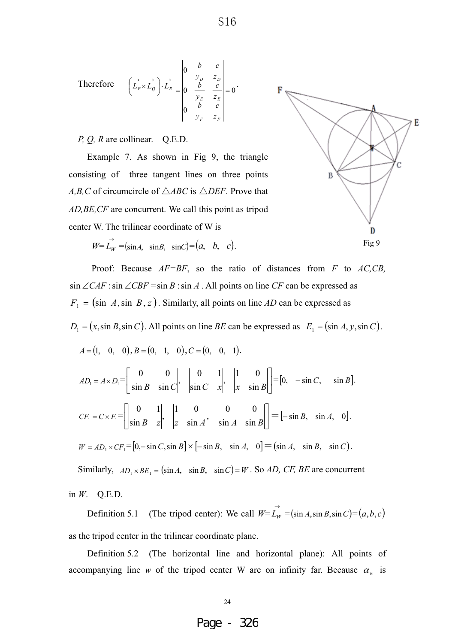F

Therefore 
$$
\left(\vec{L}_P \times \vec{L}_Q\right) \cdot \vec{L}_R = \begin{vmatrix} 0 & \frac{b}{y_D} & \frac{c}{z_D} \\ 0 & \frac{b}{y_E} & \frac{c}{z_E} \\ 0 & \frac{b}{y_E} & \frac{c}{z_E} \\ 0 & \frac{b}{y_F} & \frac{c}{z_F} \end{vmatrix} = 0
$$
.

*P, Q, R* are collinear. Q.E.D.

Example 7. As shown in Fig 9, the triangle consisting of three tangent lines on three points *A,B,C* of circumcircle of  $\triangle ABC$  is  $\triangle DEF$ . Prove that *AD,BE,CF* are concurrent. We call this point as tripod center W. The trilinear coordinate of W is



 $W = \vec{L_W} = (\sin A, \sin B, \sin C) = (a, b, c).$ 

Proof: Because *AF=BF*, so the ratio of distances from *F* to *AC,CB,*   $\sin \angle CAF$ :  $\sin \angle CBF$  =  $\sin B$ :  $\sin A$ . All points on line *CF* can be expressed as  $F_1 = (\sin A, \sin B, z)$ . Similarly, all points on line *AD* can be expressed as

 $D_1 = (x, \sin B, \sin C)$ . All points on line *BE* can be expressed as  $E_1 = (\sin A, y, \sin C)$ .

 $A = (1, 0, 0), B = (0, 1, 0), C = (0, 0, 1).$ 

$$
AD_1 = A \times D_1 = \begin{bmatrix} 0 & 0 \\ \sin B & \sin C \end{bmatrix}, \begin{bmatrix} 0 & 1 \\ \sin C & x \end{bmatrix}, \begin{bmatrix} 1 & 0 \\ x & \sin B \end{bmatrix} = \begin{bmatrix} 0 & -\sin C, & \sin B \end{bmatrix}.
$$
  
\n
$$
CF_1 = C \times F_1 = \begin{bmatrix} 0 & 1 \\ \sin B & z \end{bmatrix}, \begin{bmatrix} 1 & 0 \\ z & \sin A \end{bmatrix}, \begin{bmatrix} 0 & 0 \\ \sin A & \sin B \end{bmatrix} = [-\sin B, \sin A, 0].
$$
  
\n
$$
W = AD_1 \times CF_1 = \begin{bmatrix} 0, -\sin C, \sin B \end{bmatrix} \times [-\sin B, \sin A, 0] = (\sin A, \sin B, \sin C).
$$
  
\nSimilarly,  $AD_1 \times BE_1 = (\sin A, \sin B, \sin C) = W$ . So AD, CF, BE are concurrent

in *W*. Q.E.D.

Definition 5.1 (The tripod center): We call  $W = \overrightarrow{L}_W = (\sin A, \sin B, \sin C) = (a, b, c)$ as the tripod center in the trilinear coordinate plane.

Definition 5.2 (The horizontal line and horizontal plane): All points of accompanying line *w* of the tripod center W are on infinity far. Because  $\alpha_w$  is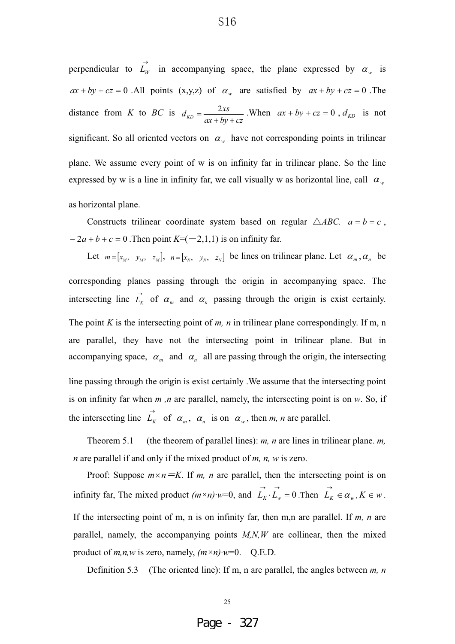perpendicular to  $\overrightarrow{L}_W$  in accompanying space, the plane expressed by  $\alpha_w$  is  $ax + by + cz = 0$ .All points (x,y,z) of  $\alpha_w$  are satisfied by  $ax + by + cz = 0$ . The distance from *K* to *BC* is  $d_{KD} = \frac{2xs}{ax + by + cz}$ . When  $ax + by + cz = 0$ ,  $d_{KD}$  is not significant. So all oriented vectors on  $\alpha_w$  have not corresponding points in trilinear plane. We assume every point of w is on infinity far in trilinear plane. So the line expressed by w is a line in infinity far, we call visually w as horizontal line, call  $\alpha_w$ as horizontal plane.

Constructs trilinear coordinate system based on regular  $\triangle ABC$ .  $a = b = c$ ,  $-2a + b + c = 0$ . Then point  $K = (-2,1,1)$  is on infinity far.

Let  $m = [x_M, y_M, z_M]$ ,  $n = [x_N, y_N, z_N]$  be lines on trilinear plane. Let  $\alpha_m, \alpha_n$  be corresponding planes passing through the origin in accompanying space. The intersecting line  $\vec{L}_K$  of  $\alpha_m$  and  $\alpha_n$  passing through the origin is exist certainly. The point *K* is the intersecting point of *m, n* in trilinear plane correspondingly. If m, n are parallel, they have not the intersecting point in trilinear plane. But in accompanying space,  $\alpha_m$  and  $\alpha_n$  all are passing through the origin, the intersecting line passing through the origin is exist certainly .We assume that the intersecting point is on infinity far when *m ,n* are parallel, namely, the intersecting point is on *w*. So, if the intersecting line  $\overrightarrow{L}_K$  of  $\alpha_m$ ,  $\alpha_n$  is on  $\alpha_w$ , then *m*, *n* are parallel.

Theorem 5.1 (the theorem of parallel lines): *m, n* are lines in trilinear plane. *m, n* are parallel if and only if the mixed product of *m, n, w* is zero.

Proof: Suppose  $m \times n = K$ . If *m, n* are parallel, then the intersecting point is on infinity far, The mixed product  $(m \times n) \cdot w = 0$ , and  $\overrightarrow{L}_K \cdot \overrightarrow{L}_w = 0$ . Then  $\overrightarrow{L}_K \in \alpha_w, K \in w$ . If the intersecting point of m, n is on infinity far, then m,n are parallel. If *m, n* are parallel, namely, the accompanying points *M,N,W* are collinear, then the mixed product of  $m, n, w$  is zero, namely,  $(m \times n) \cdot w = 0$ . Q.E.D.

Definition 5.3 (The oriented line): If m, n are parallel, the angles between *m, n*

25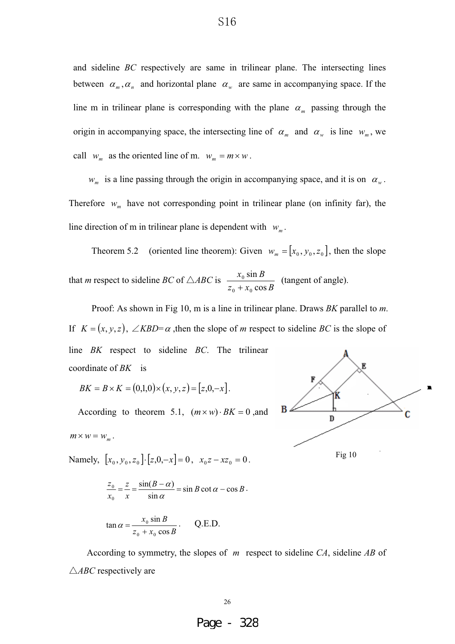and sideline *BC* respectively are same in trilinear plane. The intersecting lines between  $\alpha_m$ ,  $\alpha_n$  and horizontal plane  $\alpha_w$  are same in accompanying space. If the line m in trilinear plane is corresponding with the plane  $\alpha_m$  passing through the origin in accompanying space, the intersecting line of  $\alpha_m$  and  $\alpha_w$  is line  $w_m$ , we call  $w_m$  as the oriented line of m.  $w_m = m \times w$ .

 $w_m$  is a line passing through the origin in accompanying space, and it is on  $\alpha_w$ . Therefore  $w_m$  have not corresponding point in trilinear plane (on infinity far), the line direction of m in trilinear plane is dependent with  $w_m$ .

Theorem 5.2 (oriented line theorem): Given  $w_m = [x_0, y_0, z_0]$ , then the slope that *m* respect to sideline *BC* of  $\triangle ABC$  is  $z_0 + x_0 \cos B$  $x_0$  sin B cos sin  $0^{\circ}$   $\mathcal{N}_0$  $\frac{x_0 \sin B}{x_0 \cos B}$  (tangent of angle).

Proof: As shown in Fig 10, m is a line in trilinear plane. Draws *BK* parallel to *m*.

If  $K = (x, y, z)$ ,  $\angle KBD = \alpha$ , then the slope of *m* respect to sideline *BC* is the slope of

line *BK* respect to sideline *BC*. The trilinear coordinate of *BK* is

 $BK = B \times K = (0,1,0) \times (x, y, z) = [z,0,-x].$ 

According to theorem 5.1,  $(m \times w) \cdot BK = 0$ , and

$$
m \times w = w_m.
$$

Namely,  $[x_0, y_0, z_0] \cdot [z, 0, -x] = 0$ ,  $x_0 z - x z_0 = 0$ .

$$
\frac{z_0}{x_0} = \frac{z}{x} = \frac{\sin(B - \alpha)}{\sin \alpha} = \sin B \cot \alpha - \cos B.
$$

$$
\tan \alpha = \frac{x_0 \sin B}{z_0 + x_0 \cos B}.
$$
 Q.E.D.

According to symmetry, the slopes of *m* respect to sideline *CA*, sideline *AB* of Ƹ*ABC* respectively are

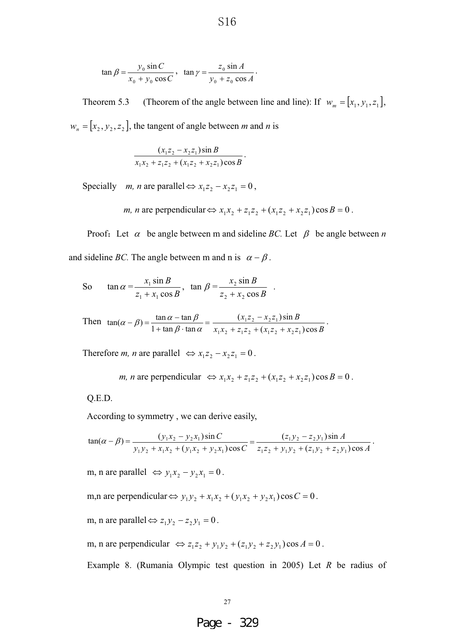$$
\tan \beta = \frac{y_0 \sin C}{x_0 + y_0 \cos C}, \quad \tan \gamma = \frac{z_0 \sin A}{y_0 + z_0 \cos A}.
$$

Theorem 5.3 (Theorem of the angle between line and line): If  $w_m = [x_1, y_1, z_1]$ ,  $w_n = [x_2, y_2, z_2]$ , the tangent of angle between *m* and *n* is

$$
\frac{(x_1z_2-x_2z_1)\sin B}{x_1x_2+z_1z_2+(x_1z_2+x_2z_1)\cos B}.
$$

Specially *m, n* are parallel  $\Leftrightarrow x_1z_2 - x_2z_1 = 0$ ,

m, n are perpendicular 
$$
\Leftrightarrow x_1x_2 + z_1z_2 + (x_1z_2 + x_2z_1)\cos B = 0
$$
.

Proof: Let  $\alpha$  be angle between m and sideline *BC*. Let  $\beta$  be angle between *n* and sideline *BC*. The angle between m and n is  $\alpha - \beta$ .

So 
$$
\tan \alpha = \frac{x_1 \sin B}{z_1 + x_1 \cos B}
$$
,  $\tan \beta = \frac{x_2 \sin B}{z_2 + x_2 \cos B}$ .

Then  $\tan(\alpha - \beta) = \frac{\tan \alpha - \tan \beta}{1 + \tan \beta \cdot \tan \alpha}$  $\tan(\alpha - \beta) = \frac{\tan \alpha - \tan \beta}{1 + \tan \beta \cdot \tan \alpha} = \frac{(x_1 z_2 - x_2 z_1) \sin B}{x_1 x_2 + z_1 z_2 + (x_1 z_2 + x_2 z_1) \cos B}$  $(x_1z_2 + x_2z_1)\cos$  $(x_1z_2 - x_2z_1)\sin$  $1^2$ <sub>2</sub><sup>-2</sup> $1^2$ <sub>2</sub><sup>-</sup> $(1^2$ <sub>2</sub><sup>-1</sup> $2^2$ <sub>1</sub>  $\frac{(x_1z_2 - x_2z_1)\sin B}{z_1z_2 + (x_1z_2 + x_2z_1)\cos B}$ .

Therefore *m, n* are parallel  $\Leftrightarrow x_1z_2 - x_2z_1 = 0$ .

*m, n* are perpendicular  $\Leftrightarrow x_1x_2 + z_1z_2 + (x_1z_2 + x_2z_1)\cos B = 0$ .

Q.E.D.

According to symmetry , we can derive easily,

$$
\tan(\alpha - \beta) = \frac{(y_1x_2 - y_2x_1)\sin C}{y_1y_2 + x_1x_2 + (y_1x_2 + y_2x_1)\cos C} = \frac{(z_1y_2 - z_2y_1)\sin A}{z_1z_2 + y_1y_2 + (z_1y_2 + z_2y_1)\cos A}.
$$

m, n are parallel  $\Leftrightarrow$   $y_1x_2 - y_2x_1 = 0$ .

m,n are perpendicular  $\Leftrightarrow$   $y_1y_2 + x_1x_2 + (y_1x_2 + y_2x_1)\cos C = 0$ .

m, n are parallel  $\Leftrightarrow z_1y_2 - z_2y_1 = 0$ .

m, n are perpendicular  $\Leftrightarrow z_1z_2 + y_1y_2 + (z_1y_2 + z_2y_1)\cos A = 0$ .

Example 8. (Rumania Olympic test question in 2005) Let *R* be radius of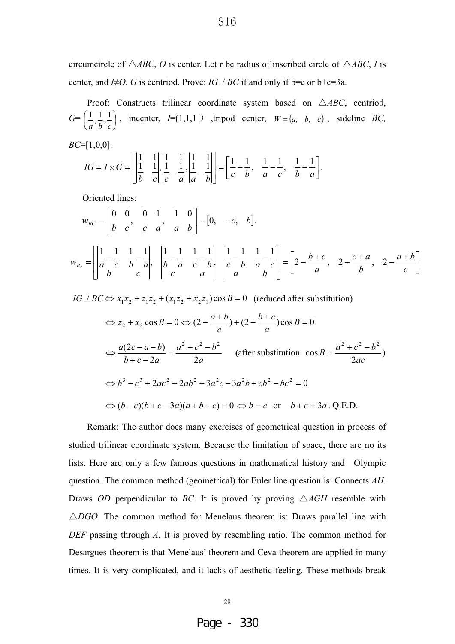circumcircle of  $\triangle ABC$ , *O* is center. Let r be radius of inscribed circle of  $\triangle ABC$ , *I* is center, and *I* $\neq$ *O*. *G* is centriod. Prove: *IG* $\perp$ *BC* if and only if b=c or b+c=3a.

Proof: Constructs trilinear coordinate system based on  $\triangle ABC$ , centriod,  $G=[\frac{1}{2},\frac{1}{2},\frac{1}{2}]$ J  $\left( \frac{1}{2}, \frac{1}{2}, \frac{1}{2} \right)$ l  $\left(\frac{1}{a}, \frac{1}{b}, \frac{1}{c}\right)$  $\left(\frac{1}{\epsilon}, \frac{1}{\epsilon}, \frac{1}{\epsilon}\right)$ , incenter,  $I=(1,1,1)$  ,tripod center,  $W=(a, b, c)$ , sideline *BC*,

$$
IG = I \times G = \begin{bmatrix} 1 & 1 \\ 1 & 1 \\ 0 & c \end{bmatrix} \begin{bmatrix} 1 & 1 \\ 1 & 1 \\ 0 & a \end{bmatrix} \begin{bmatrix} 1 & 1 \\ 1 & 1 \\ 0 & b \end{bmatrix} = \begin{bmatrix} 1 & 1 \\ 1 & 1 \\ 0 & b \end{bmatrix} \begin{bmatrix} 1 & 1 \\ 1 & 1 \\ 0 & b \end{bmatrix}.
$$

Oriented lines:

*BC*=[1,0,0].

$$
w_{BC} = \begin{bmatrix} 0 & 0 \\ b & c \end{bmatrix}, \begin{bmatrix} 0 & 1 \\ c & a \end{bmatrix}, \begin{bmatrix} 1 & 0 \\ a & b \end{bmatrix} = \begin{bmatrix} 0, & -c, & b \end{bmatrix}.
$$
  

$$
w_{IG} = \begin{bmatrix} \frac{1}{a} - \frac{1}{c} & \frac{1}{b} - \frac{1}{a} \\ b & c \end{bmatrix}, \begin{bmatrix} \frac{1}{b} - \frac{1}{a} & \frac{1}{c} - \frac{1}{b} \\ c & a \end{bmatrix}, \begin{bmatrix} \frac{1}{c} - \frac{1}{b} & \frac{1}{a} - \frac{1}{c} \\ a & b \end{bmatrix} = \begin{bmatrix} 2 - \frac{b+c}{a}, & 2 - \frac{c+a}{b}, & 2 - \frac{a+b}{c} \end{bmatrix}
$$

 $IG\perp BC \Leftrightarrow x_1x_2 + z_1z_2 + (x_1z_2 + x_2z_1)\cos B = 0$  (reduced after substitution)

$$
\Leftrightarrow z_2 + x_2 \cos B = 0 \Leftrightarrow (2 - \frac{a+b}{c}) + (2 - \frac{b+c}{a}) \cos B = 0
$$
  

$$
\Leftrightarrow \frac{a(2c - a - b)}{b + c - 2a} = \frac{a^2 + c^2 - b^2}{2a}
$$
 (after substitution  $\cos B = \frac{a^2 + c^2 - b^2}{2ac}$ )  

$$
\Leftrightarrow b^3 - c^3 + 2ac^2 - 2ab^2 + 3a^2c - 3a^2b + cb^2 - bc^2 = 0
$$
  

$$
\Leftrightarrow (b - c)(b + c - 3a)(a + b + c) = 0 \Leftrightarrow b = c \text{ or } b + c = 3a. \text{ Q.E.D.}
$$

Remark: The author does many exercises of geometrical question in process of studied trilinear coordinate system. Because the limitation of space, there are no its lists. Here are only a few famous questions in mathematical history and Olympic question. The common method (geometrical) for Euler line question is: Connects *AH.* Draws *OD* perpendicular to *BC*. It is proved by proving  $\triangle AGH$  resemble with  $\triangle DGO$ . The common method for Menelaus theorem is: Draws parallel line with *DEF* passing through *A.* It is proved by resembling ratio. The common method for Desargues theorem is that Menelaus' theorem and Ceva theorem are applied in many times. It is very complicated, and it lacks of aesthetic feeling. These methods break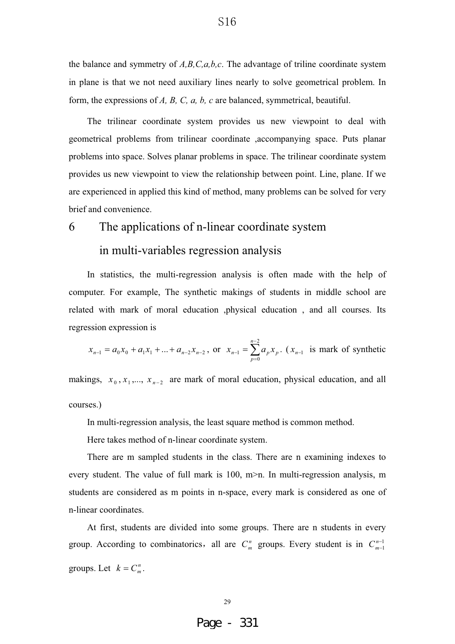the balance and symmetry of *A,B,C,a,b,c*. The advantage of triline coordinate system in plane is that we not need auxiliary lines nearly to solve geometrical problem. In form, the expressions of *A, B, C, a, b, c* are balanced, symmetrical, beautiful.

The trilinear coordinate system provides us new viewpoint to deal with geometrical problems from trilinear coordinate ,accompanying space. Puts planar problems into space. Solves planar problems in space. The trilinear coordinate system provides us new viewpoint to view the relationship between point. Line, plane. If we are experienced in applied this kind of method, many problems can be solved for very brief and convenience.

# 6 The applications of n-linear coordinate system

# in multi-variables regression analysis

In statistics, the multi-regression analysis is often made with the help of computer. For example, The synthetic makings of students in middle school are related with mark of moral education ,physical education , and all courses. Its regression expression is

$$
x_{n-1} = a_0 x_0 + a_1 x_1 + ... + a_{n-2} x_{n-2}
$$
, or  $x_{n-1} = \sum_{p=0}^{n-2} a_p x_p$ . ( $x_{n-1}$  is mark of synthetic

makings,  $x_0, x_1, \ldots, x_{n-2}$  are mark of moral education, physical education, and all courses.)

In multi-regression analysis, the least square method is common method.

Here takes method of n-linear coordinate system.

There are m sampled students in the class. There are n examining indexes to every student. The value of full mark is 100, m>n. In multi-regression analysis, m students are considered as m points in n-space, every mark is considered as one of n-linear coordinates.

At first, students are divided into some groups. There are n students in every group. According to combinatorics, all are  $C_m^n$  groups. Every student is in  $C_{m-1}^{n-1}$  $\overline{a}$  $C_{m-}^{n-}$ groups. Let  $k = C_m^n$ .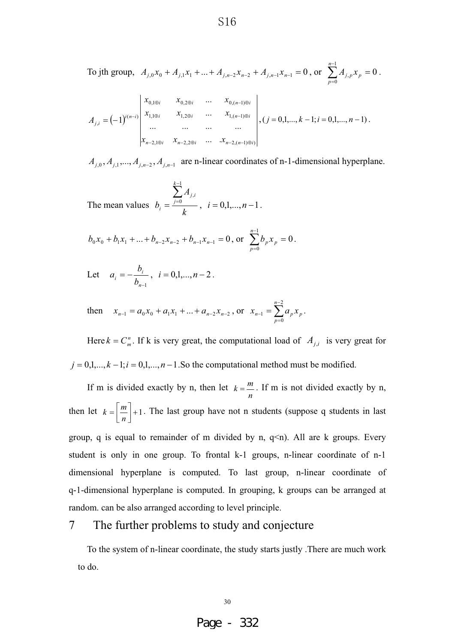To jth group,  $A_{j,0}x_0 + A_{j,1}x_1 + ... + A_{j,n-2}x_{n-2} + A_{j,n-1}x_{n-1} = 0$ , or  $\sum_{j=1}^{n-1} A_{j,p}x_p = 0$ 0  $\sum_{p=1}^{n-1} A_{j,p} x_p =$  $\sum_{p=0}^{I} A_{j,p} A_p$ *n p*  $A_{j,p} x_p = 0$ .

$$
A_{j,i} = (-1)^{i(n-i)} \begin{vmatrix} x_{0,1 \oplus i} & x_{0,2 \oplus i} & \cdots & x_{0,(n-1) \oplus i} \\ x_{1,1 \oplus i} & x_{1,2 \oplus i} & \cdots & x_{1,(n-1) \oplus i} \\ \cdots & \cdots & \cdots & \cdots \\ x_{n-2,1 \oplus i} & x_{n-2,2 \oplus i} & \cdots & x_{n-2,(n-1) \oplus i} \end{vmatrix}, (j = 0,1,...,k-1; i = 0,1,...,n-1).
$$

 $A_{j,0}, A_{j,1},..., A_{j,n-2}, A_{j,n-1}$  are n-linear coordinates of n-1-dimensional hyperplane.

The mean values *k A b k j ij i*  $\sum_{k=1}^{k-1}$  $=\frac{j}{j}$ 1  $\boldsymbol{0}$  $, i = 0, 1, \ldots, n-1.$ 

$$
b_0x_0 + b_1x_1 + ... + b_{n-2}x_{n-2} + b_{n-1}x_{n-1} = 0
$$
, or  $\sum_{p=0}^{n-1} b_px_p = 0$ .

Let 
$$
a_i = -\frac{b_i}{b_{n-1}}, i = 0,1,...,n-2.
$$

then 
$$
x_{n-1} = a_0 x_0 + a_1 x_1 + ... + a_{n-2} x_{n-2}
$$
, or  $x_{n-1} = \sum_{p=0}^{n-2} a_p x_p$ .

Here  $k = C_m^n$ . If k is very great, the computational load of  $A_{j,i}$  is very great for  $j = 0,1,...,k-1; i = 0,1,...,n-1$ . So the computational method must be modified.

If m is divided exactly by n, then let *n*  $k = \frac{m}{n}$ . If m is not divided exactly by n, then let  $k = \left\lceil \frac{m}{n} \right\rceil + 1$  $=$   $\lceil$ *n*  $k = \frac{m}{n+1}$ . The last group have not n students (suppose q students in last group, q is equal to remainder of m divided by n,  $q\leq n$ ). All are k groups. Every student is only in one group. To frontal k-1 groups, n-linear coordinate of n-1 dimensional hyperplane is computed. To last group, n-linear coordinate of q-1-dimensional hyperplane is computed. In grouping, k groups can be arranged at random. can be also arranged according to level principle.

#### 7 The further problems to study and conjecture

To the system of n-linear coordinate, the study starts justly .There are much work to do.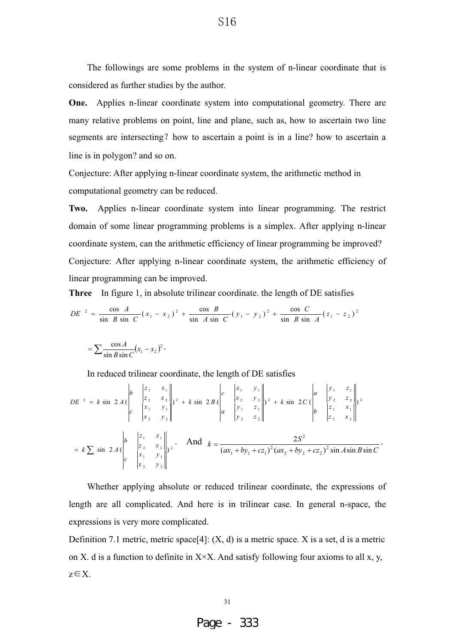The followings are some problems in the system of n-linear coordinate that is considered as further studies by the author.

**One.** Applies n-linear coordinate system into computational geometry. There are many relative problems on point, line and plane, such as, how to ascertain two line segments are intersecting? how to ascertain a point is in a line? how to ascertain a line is in polygon? and so on.

Conjecture: After applying n-linear coordinate system, the arithmetic method in computational geometry can be reduced.

**Two.** Applies n-linear coordinate system into linear programming. The restrict domain of some linear programming problems is a simplex. After applying n-linear coordinate system, can the arithmetic efficiency of linear programming be improved? Conjecture: After applying n-linear coordinate system, the arithmetic efficiency of linear programming can be improved.

**Three** In figure 1, in absolute trilinear coordinate. the length of DE satisfies

$$
DE^{-2} = \frac{\cos A}{\sin B \sin C} (x_1 - x_2)^2 + \frac{\cos B}{\sin A \sin C} (y_1 - y_2)^2 + \frac{\cos C}{\sin B \sin A} (z_1 - z_2)^2
$$

$$
= \sum \frac{\cos A}{\sin B \sin C} (x_1 - x_2)^2
$$

In reduced trilinear coordinate, the length of DE satisfies

$$
DE^{-2} = k \sin 2A \Biggl( \int_{c}^{b} \begin{vmatrix} z_1 & x_1 \\ z_2 & x_2 \\ x_1 & y_1 \\ x_2 & y_2 \end{vmatrix} \Biggr) + k \sin 2B \Biggl( \int_{a}^{c} \begin{vmatrix} x_1 & y_1 \\ x_2 & y_2 \\ y_1 & z_1 \\ y_2 & z_2 \end{vmatrix} \Biggr) + k \sin 2C \Biggl( \int_{b}^{a} \begin{vmatrix} y_1 & z_1 \\ y_2 & z_2 \\ z_1 & x_1 \\ z_2 & x_2 \end{vmatrix} \Biggr) + k \sin 2C \Biggl( \int_{c}^{a} \begin{vmatrix} y_1 & z_1 \\ y_2 & z_2 \\ z_1 & x_1 \\ z_2 & x_2 \end{vmatrix} \Biggr) + k \sin 2C \Biggl( \int_{c}^{a} \begin{vmatrix} y_1 & z_1 \\ y_2 & z_2 \\ z_1 & x_1 \\ z_2 & x_2 \end{vmatrix} \Biggr) + k \sin 2C \Biggl( \int_{c}^{a} \begin{vmatrix} y_1 & z_1 \\ y_2 & z_2 \\ z_1 & x_1 \\ z_2 & x_2 \end{vmatrix} \Biggr) + k \sin 2C \Biggl( \int_{c}^{a} \begin{vmatrix} z_1 & y_1 \\ z_2 & z_2 \\ z_1 & x_1 \\ z_2 & x_2 \end{vmatrix} \Biggr) + k \sin 2C \Biggl( \int_{c}^{a} \begin{vmatrix} z_1 & z_1 \\ z_2 & z_2 \\ z_1 & x_1 \\ z_2 & x_2 \end{vmatrix} \Biggr) + k \sin 2C \Biggl( \int_{c}^{a} \begin{vmatrix} z_1 & z_1 \\ z_2 & z_2 \\ z_1 & x_1 \\ z_2 & x_2 \end{vmatrix} \Biggr) + k \sin 2C \Biggl( \int_{c}^{a} \begin{vmatrix} z_1 & z_1 \\ z_2 & z_2 \\ z_1 & x_1 \\ z_2 & x_2 \end{vmatrix} \Biggr) + k \sin 2C \Biggr( \int_{c}^{a} \begin{vmatrix} z_1 & z_1 \\ z_2 & z_2 \\ z_1 & x_1 \\ z_2 & x_2 \end{vmatrix} \Biggr) + k \sin 2C \Biggr( \int_{c}^{a} \begin{vmatrix} z_1 &
$$

Whether applying absolute or reduced trilinear coordinate, the expressions of length are all complicated. And here is in trilinear case. In general n-space, the expressions is very more complicated.

Definition 7.1 metric, metric space[4]:  $(X, d)$  is a metric space. X is a set, d is a metric on X. d is a function to definite in  $X \times X$ . And satisfy following four axioms to all x, y,  $z \in X$ .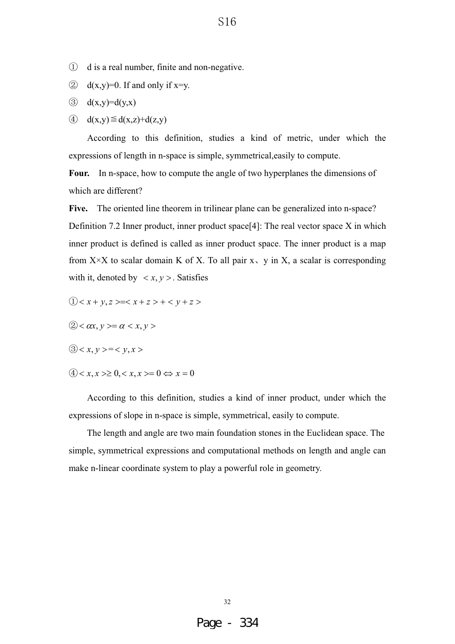- $\Phi$  d is a real number, finite and non-negative.
- $\circled{2}$  d(x,y)=0. If and only if x=y.
- $\textcircled{3} \quad d(x,y)=d(y,x)$
- (4)  $d(x,y) \leq d(x,z) + d(z,y)$

According to this definition, studies a kind of metric, under which the expressions of length in n-space is simple, symmetrical,easily to compute.

**Four.** In n-space, how to compute the angle of two hyperplanes the dimensions of which are different?

Five. The oriented line theorem in trilinear plane can be generalized into n-space? Definition 7.2 Inner product, inner product space[4]: The real vector space X in which inner product is defined is called as inner product space. The inner product is a map from  $X \times X$  to scalar domain K of X. To all pair  $x \times y$  in X, a scalar is corresponding with it, denoted by  $\langle x, y \rangle$ . Satisfies

(1) < *x* + *y*, *z* > = < *x* + *z* > + < *y* + *z* >

$$
\textcircled{2} < \alpha x, y > = \alpha < x, y > \alpha
$$

$$
\textcircled{3}=
$$

 $\textcircled{4} < x, x \ge 0, < x, x \ge 0 \Leftrightarrow x = 0$ 

According to this definition, studies a kind of inner product, under which the expressions of slope in n-space is simple, symmetrical, easily to compute.

The length and angle are two main foundation stones in the Euclidean space. The simple, symmetrical expressions and computational methods on length and angle can make n-linear coordinate system to play a powerful role in geometry.